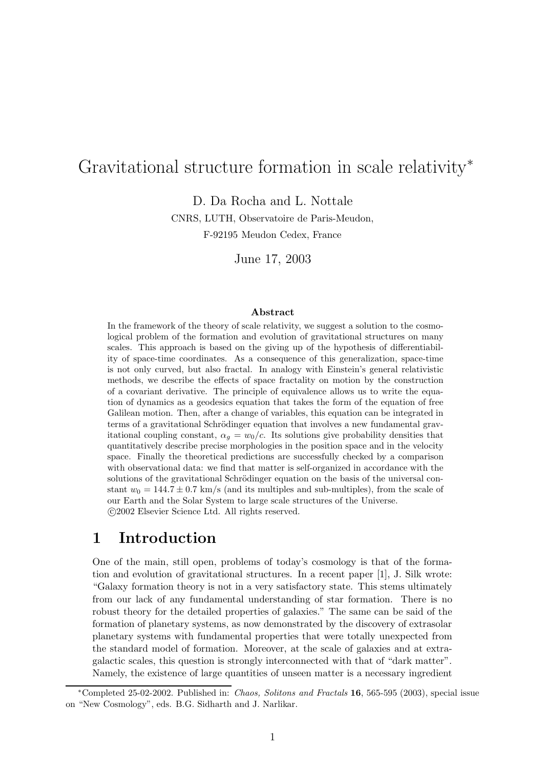# Gravitational structure formation in scale relativity<sup>\*</sup>

D. Da Rocha and L. Nottale

CNRS, LUTH, Observatoire de Paris-Meudon, F-92195 Meudon Cedex, France

June 17, 2003

#### Abstract

In the framework of the theory of scale relativity, we suggest a solution to the cosmological problem of the formation and evolution of gravitational structures on many scales. This approach is based on the giving up of the hypothesis of differentiability of space-time coordinates. As a consequence of this generalization, space-time is not only curved, but also fractal. In analogy with Einstein's general relativistic methods, we describe the effects of space fractality on motion by the construction of a covariant derivative. The principle of equivalence allows us to write the equation of dynamics as a geodesics equation that takes the form of the equation of free Galilean motion. Then, after a change of variables, this equation can be integrated in terms of a gravitational Schrödinger equation that involves a new fundamental gravitational coupling constant,  $\alpha_q = w_0/c$ . Its solutions give probability densities that quantitatively describe precise morphologies in the position space and in the velocity space. Finally the theoretical predictions are successfully checked by a comparison with observational data: we find that matter is self-organized in accordance with the solutions of the gravitational Schrödinger equation on the basis of the universal constant  $w_0 = 144.7 \pm 0.7$  km/s (and its multiples and sub-multiples), from the scale of our Earth and the Solar System to large scale structures of the Universe. c 2002 Elsevier Science Ltd. All rights reserved.

## 1 Introduction

One of the main, still open, problems of today's cosmology is that of the formation and evolution of gravitational structures. In a recent paper [1], J. Silk wrote: "Galaxy formation theory is not in a very satisfactory state. This stems ultimately from our lack of any fundamental understanding of star formation. There is no robust theory for the detailed properties of galaxies." The same can be said of the formation of planetary systems, as now demonstrated by the discovery of extrasolar planetary systems with fundamental properties that were totally unexpected from the standard model of formation. Moreover, at the scale of galaxies and at extragalactic scales, this question is strongly interconnected with that of "dark matter". Namely, the existence of large quantities of unseen matter is a necessary ingredient

<sup>\*</sup>Completed 25-02-2002. Published in: Chaos, Solitons and Fractals  $16$ , 565-595 (2003), special issue on "New Cosmology", eds. B.G. Sidharth and J. Narlikar.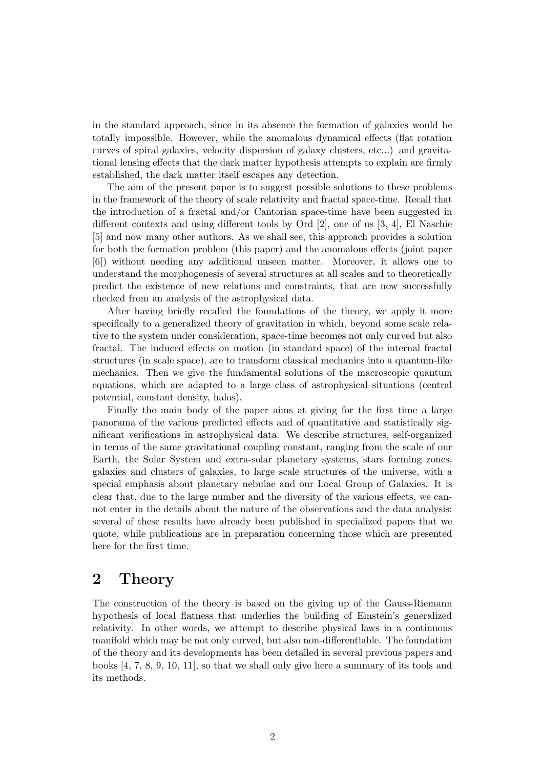in the standard approach, since in its absence the formation of galaxies would be totally impossible. However, while the anomalous dynamical effects (flat rotation curves of spiral galaxies, velocity dispersion of galaxy clusters, etc...) and gravitational lensing effects that the dark matter hypothesis attempts to explain are firmly established, the dark matter itself escapes any detection.

The aim of the present paper is to suggest possible solutions to these problems in the framework of the theory of scale relativity and fractal space-time. Recall that the introduction of a fractal and/or Cantorian space-time have been suggested in different contexts and using different tools by Ord [2], one of us [3, 4], El Naschie [5] and now many other authors. As we shall see, this approach provides a solution for both the formation problem (this paper) and the anomalous effects (joint paper [6]) without needing any additional unseen matter. Moreover, it allows one to understand the morphogenesis of several structures at all scales and to theoretically predict the existence of new relations and constraints, that are now successfully checked from an analysis of the astrophysical data.

After having briefly recalled the foundations of the theory, we apply it more specifically to a generalized theory of gravitation in which, beyond some scale relative to the system under consideration, space-time becomes not only curved but also fractal. The induced effects on motion (in standard space) of the internal fractal structures (in scale space), are to transform classical mechanics into a quantum-like mechanics. Then we give the fundamental solutions of the macroscopic quantum equations, which are adapted to a large class of astrophysical situations (central potential, constant density, halos).

Finally the main body of the paper aims at giving for the first time a large panorama of the various predicted effects and of quantitative and statistically significant verifications in astrophysical data. We describe structures, self-organized in terms of the same gravitational coupling constant, ranging from the scale of our Earth, the Solar System and extra-solar planetary systems, stars forming zones, galaxies and clusters of galaxies, to large scale structures of the universe, with a special emphasis about planetary nebulae and our Local Group of Galaxies. It is clear that, due to the large number and the diversity of the various effects, we cannot enter in the details about the nature of the observations and the data analysis: several of these results have already been published in specialized papers that we quote, while publications are in preparation concerning those which are presented here for the first time.

## 2 Theory

The construction of the theory is based on the giving up of the Gauss-Riemann hypothesis of local flatness that underlies the building of Einstein's generalized relativity. In other words, we attempt to describe physical laws in a continuous manifold which may be not only curved, but also non-differentiable. The foundation of the theory and its developments has been detailed in several previous papers and books [4, 7, 8, 9, 10, 11], so that we shall only give here a summary of its tools and its methods.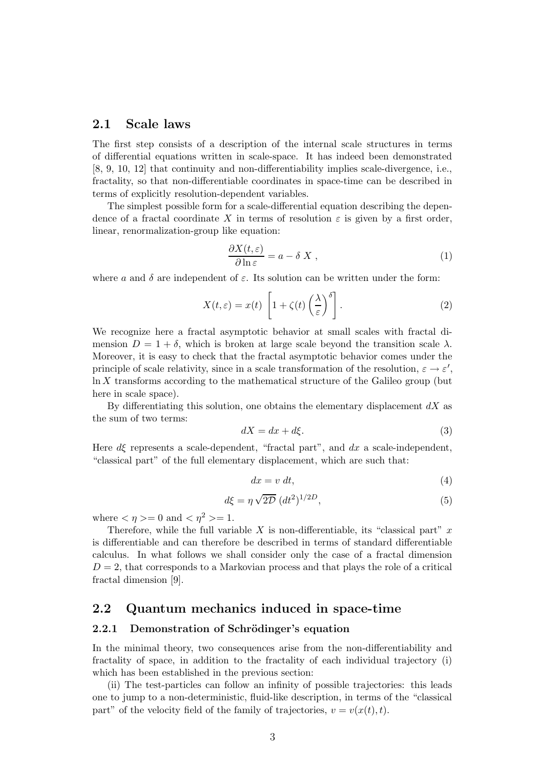### 2.1 Scale laws

The first step consists of a description of the internal scale structures in terms of differential equations written in scale-space. It has indeed been demonstrated [8, 9, 10, 12] that continuity and non-differentiability implies scale-divergence, i.e., fractality, so that non-differentiable coordinates in space-time can be described in terms of explicitly resolution-dependent variables.

The simplest possible form for a scale-differential equation describing the dependence of a fractal coordinate X in terms of resolution  $\varepsilon$  is given by a first order, linear, renormalization-group like equation:

$$
\frac{\partial X(t,\varepsilon)}{\partial \ln \varepsilon} = a - \delta X , \qquad (1)
$$

where a and  $\delta$  are independent of  $\varepsilon$ . Its solution can be written under the form:

$$
X(t,\varepsilon) = x(t) \left[ 1 + \zeta(t) \left( \frac{\lambda}{\varepsilon} \right)^{\delta} \right].
$$
 (2)

We recognize here a fractal asymptotic behavior at small scales with fractal dimension  $D = 1 + \delta$ , which is broken at large scale beyond the transition scale  $\lambda$ . Moreover, it is easy to check that the fractal asymptotic behavior comes under the principle of scale relativity, since in a scale transformation of the resolution,  $\varepsilon \to \varepsilon'$ ,  $\ln X$  transforms according to the mathematical structure of the Galileo group (but here in scale space).

By differentiating this solution, one obtains the elementary displacement  $dX$  as the sum of two terms:

$$
dX = dx + d\xi.
$$
 (3)

Here  $d\xi$  represents a scale-dependent, "fractal part", and dx a scale-independent, "classical part" of the full elementary displacement, which are such that:

$$
dx = v \, dt,\tag{4}
$$

$$
d\xi = \eta \sqrt{2\mathcal{D}} \ (dt^2)^{1/2D},\tag{5}
$$

where  $\langle \eta \rangle = 0$  and  $\langle \eta^2 \rangle = 1$ .

Therefore, while the full variable X is non-differentiable, its "classical part"  $x$ is differentiable and can therefore be described in terms of standard differentiable calculus. In what follows we shall consider only the case of a fractal dimension  $D = 2$ , that corresponds to a Markovian process and that plays the role of a critical fractal dimension [9].

## 2.2 Quantum mechanics induced in space-time

#### 2.2.1 Demonstration of Schrödinger's equation

In the minimal theory, two consequences arise from the non-differentiability and fractality of space, in addition to the fractality of each individual trajectory (i) which has been established in the previous section:

(ii) The test-particles can follow an infinity of possible trajectories: this leads one to jump to a non-deterministic, fluid-like description, in terms of the "classical part" of the velocity field of the family of trajectories,  $v = v(x(t),t)$ .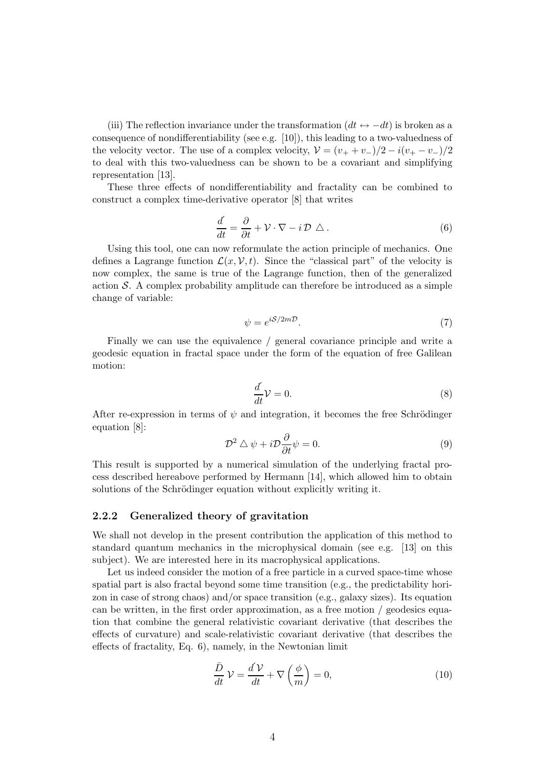(iii) The reflection invariance under the transformation  $(dt \leftrightarrow -dt)$  is broken as a consequence of nondifferentiability (see e.g. [10]), this leading to a two-valuedness of the velocity vector. The use of a complex velocity,  $\mathcal{V} = (v_+ + v_-)/2 - i(v_+ - v_-)/2$ to deal with this two-valuedness can be shown to be a covariant and simplifying representation [13].

These three effects of nondifferentiability and fractality can be combined to construct a complex time-derivative operator [8] that writes

$$
\frac{d}{dt} = \frac{\partial}{\partial t} + \mathcal{V} \cdot \nabla - i \mathcal{D} \triangle . \qquad (6)
$$

Using this tool, one can now reformulate the action principle of mechanics. One defines a Lagrange function  $\mathcal{L}(x, \mathcal{V}, t)$ . Since the "classical part" of the velocity is now complex, the same is true of the Lagrange function, then of the generalized action  $S$ . A complex probability amplitude can therefore be introduced as a simple change of variable:

$$
\psi = e^{iS/2m\mathcal{D}}.\tag{7}
$$

Finally we can use the equivalence / general covariance principle and write a geodesic equation in fractal space under the form of the equation of free Galilean motion:

$$
\frac{d}{dt}\mathcal{V} = 0.\tag{8}
$$

After re-expression in terms of  $\psi$  and integration, it becomes the free Schrödinger equation [8]:

$$
\mathcal{D}^2 \triangle \psi + i \mathcal{D} \frac{\partial}{\partial t} \psi = 0. \tag{9}
$$

This result is supported by a numerical simulation of the underlying fractal process described hereabove performed by Hermann [14], which allowed him to obtain solutions of the Schrödinger equation without explicitly writing it.

#### 2.2.2 Generalized theory of gravitation

We shall not develop in the present contribution the application of this method to standard quantum mechanics in the microphysical domain (see e.g. [13] on this subject). We are interested here in its macrophysical applications.

Let us indeed consider the motion of a free particle in a curved space-time whose spatial part is also fractal beyond some time transition (e.g., the predictability horizon in case of strong chaos) and/or space transition (e.g., galaxy sizes). Its equation can be written, in the first order approximation, as a free motion  $\ell$  geodesics equation that combine the general relativistic covariant derivative (that describes the effects of curvature) and scale-relativistic covariant derivative (that describes the effects of fractality, Eq. 6), namely, in the Newtonian limit

$$
\frac{\bar{D}}{dt}\mathcal{V} = \frac{d\mathcal{V}}{dt} + \nabla\left(\frac{\phi}{m}\right) = 0,\tag{10}
$$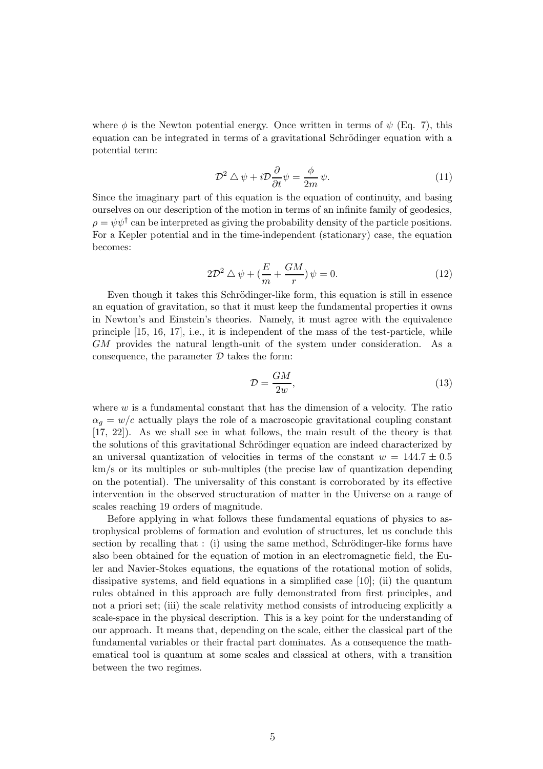where  $\phi$  is the Newton potential energy. Once written in terms of  $\psi$  (Eq. 7), this equation can be integrated in terms of a gravitational Schrödinger equation with a potential term:

$$
\mathcal{D}^2 \triangle \psi + i \mathcal{D} \frac{\partial}{\partial t} \psi = \frac{\phi}{2m} \psi.
$$
 (11)

Since the imaginary part of this equation is the equation of continuity, and basing ourselves on our description of the motion in terms of an infinite family of geodesics,  $\rho = \psi \psi^{\dagger}$  can be interpreted as giving the probability density of the particle positions. For a Kepler potential and in the time-independent (stationary) case, the equation becomes:

$$
2\mathcal{D}^2 \triangle \psi + \left(\frac{E}{m} + \frac{GM}{r}\right)\psi = 0.
$$
\n(12)

Even though it takes this Schrödinger-like form, this equation is still in essence an equation of gravitation, so that it must keep the fundamental properties it owns in Newton's and Einstein's theories. Namely, it must agree with the equivalence principle [15, 16, 17], i.e., it is independent of the mass of the test-particle, while GM provides the natural length-unit of the system under consideration. As a consequence, the parameter  $D$  takes the form:

$$
\mathcal{D} = \frac{GM}{2w},\tag{13}
$$

where  $w$  is a fundamental constant that has the dimension of a velocity. The ratio  $\alpha_q = w/c$  actually plays the role of a macroscopic gravitational coupling constant [17, 22]). As we shall see in what follows, the main result of the theory is that the solutions of this gravitational Schrödinger equation are indeed characterized by an universal quantization of velocities in terms of the constant  $w = 144.7 \pm 0.5$ km/s or its multiples or sub-multiples (the precise law of quantization depending on the potential). The universality of this constant is corroborated by its effective intervention in the observed structuration of matter in the Universe on a range of scales reaching 19 orders of magnitude.

Before applying in what follows these fundamental equations of physics to astrophysical problems of formation and evolution of structures, let us conclude this section by recalling that  $: (i)$  using the same method, Schrödinger-like forms have also been obtained for the equation of motion in an electromagnetic field, the Euler and Navier-Stokes equations, the equations of the rotational motion of solids, dissipative systems, and field equations in a simplified case [10]; (ii) the quantum rules obtained in this approach are fully demonstrated from first principles, and not a priori set; (iii) the scale relativity method consists of introducing explicitly a scale-space in the physical description. This is a key point for the understanding of our approach. It means that, depending on the scale, either the classical part of the fundamental variables or their fractal part dominates. As a consequence the mathematical tool is quantum at some scales and classical at others, with a transition between the two regimes.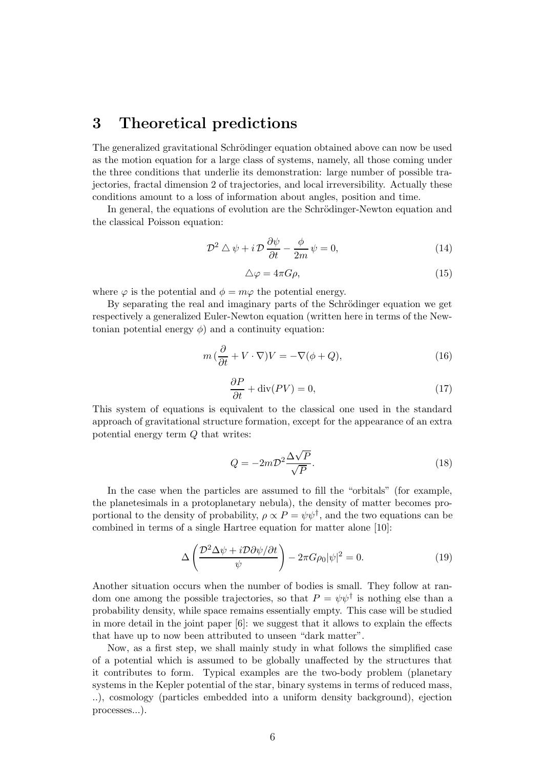## 3 Theoretical predictions

The generalized gravitational Schrödinger equation obtained above can now be used as the motion equation for a large class of systems, namely, all those coming under the three conditions that underlie its demonstration: large number of possible trajectories, fractal dimension 2 of trajectories, and local irreversibility. Actually these conditions amount to a loss of information about angles, position and time.

In general, the equations of evolution are the Schrödinger-Newton equation and the classical Poisson equation:

$$
\mathcal{D}^2 \triangle \psi + i \mathcal{D} \frac{\partial \psi}{\partial t} - \frac{\phi}{2m} \psi = 0, \tag{14}
$$

$$
\triangle \varphi = 4\pi G \rho, \tag{15}
$$

where  $\varphi$  is the potential and  $\phi = m\varphi$  the potential energy.

By separating the real and imaginary parts of the Schrödinger equation we get respectively a generalized Euler-Newton equation (written here in terms of the Newtonian potential energy  $\phi$ ) and a continuity equation:

$$
m\left(\frac{\partial}{\partial t} + V \cdot \nabla\right) V = -\nabla(\phi + Q),\tag{16}
$$

$$
\frac{\partial P}{\partial t} + \text{div}(PV) = 0,\tag{17}
$$

This system of equations is equivalent to the classical one used in the standard approach of gravitational structure formation, except for the appearance of an extra potential energy term Q that writes:

$$
Q = -2m\mathcal{D}^2 \frac{\Delta \sqrt{P}}{\sqrt{P}}.
$$
\n(18)

In the case when the particles are assumed to fill the "orbitals" (for example, the planetesimals in a protoplanetary nebula), the density of matter becomes proportional to the density of probability,  $\rho \propto P = \psi \psi^{\dagger}$ , and the two equations can be combined in terms of a single Hartree equation for matter alone [10]:

$$
\Delta \left( \frac{\mathcal{D}^2 \Delta \psi + i \mathcal{D} \partial \psi / \partial t}{\psi} \right) - 2\pi G \rho_0 |\psi|^2 = 0. \tag{19}
$$

Another situation occurs when the number of bodies is small. They follow at random one among the possible trajectories, so that  $P = \psi \psi^{\dagger}$  is nothing else than a probability density, while space remains essentially empty. This case will be studied in more detail in the joint paper [6]: we suggest that it allows to explain the effects that have up to now been attributed to unseen "dark matter".

Now, as a first step, we shall mainly study in what follows the simplified case of a potential which is assumed to be globally unaffected by the structures that it contributes to form. Typical examples are the two-body problem (planetary systems in the Kepler potential of the star, binary systems in terms of reduced mass, ..), cosmology (particles embedded into a uniform density background), ejection processes...).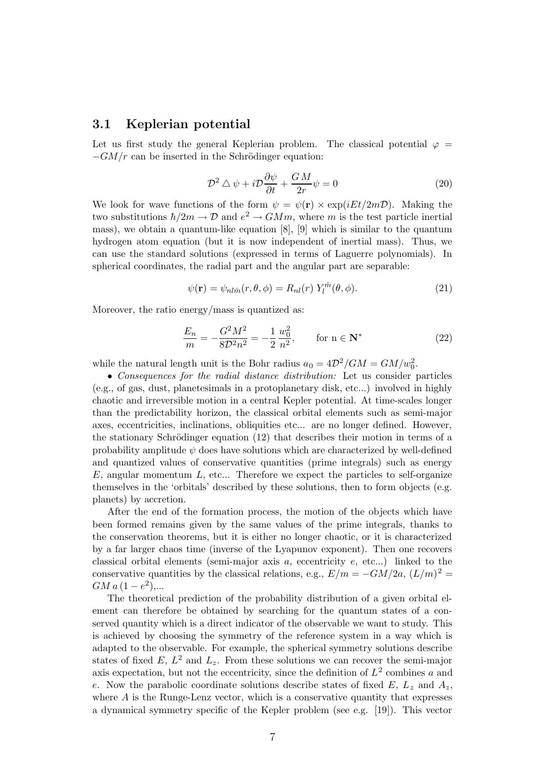### 3.1 Keplerian potential

Let us first study the general Keplerian problem. The classical potential  $\varphi =$  $-GM/r$  can be inserted in the Schrödinger equation:

$$
\mathcal{D}^2 \triangle \psi + i \mathcal{D} \frac{\partial \psi}{\partial t} + \frac{GM}{2r} \psi = 0 \tag{20}
$$

We look for wave functions of the form  $\psi = \psi(\mathbf{r}) \times \exp(iEt/2m\mathcal{D})$ . Making the two substitutions  $\hbar/2m \to \mathcal{D}$  and  $e^2 \to GMm$ , where m is the test particle inertial mass), we obtain a quantum-like equation [8], [9] which is similar to the quantum hydrogen atom equation (but it is now independent of inertial mass). Thus, we can use the standard solutions (expressed in terms of Laguerre polynomials). In spherical coordinates, the radial part and the angular part are separable:

$$
\psi(\mathbf{r}) = \psi_{nl\hat{m}}(r,\theta,\phi) = R_{nl}(r) Y_l^{\hat{m}}(\theta,\phi).
$$
\n(21)

Moreover, the ratio energy/mass is quantized as:

$$
\frac{E_n}{m} = -\frac{G^2 M^2}{8D^2 n^2} = -\frac{1}{2} \frac{w_0^2}{n^2}, \qquad \text{for } n \in \mathbb{N}^* \tag{22}
$$

while the natural length unit is the Bohr radius  $a_0 = 4\mathcal{D}^2/GM = GM/w_0^2$ .

• Consequences for the radial distance distribution: Let us consider particles (e.g., of gas, dust, planetesimals in a protoplanetary disk, etc...) involved in highly chaotic and irreversible motion in a central Kepler potential. At time-scales longer than the predictability horizon, the classical orbital elements such as semi-major axes, eccentricities, inclinations, obliquities etc... are no longer defined. However, the stationary Schrödinger equation  $(12)$  that describes their motion in terms of a probability amplitude  $\psi$  does have solutions which are characterized by well-defined and quantized values of conservative quantities (prime integrals) such as energy  $E$ , angular momentum  $L$ , etc... Therefore we expect the particles to self-organize themselves in the 'orbitals' described by these solutions, then to form objects (e.g. planets) by accretion.

After the end of the formation process, the motion of the objects which have been formed remains given by the same values of the prime integrals, thanks to the conservation theorems, but it is either no longer chaotic, or it is characterized by a far larger chaos time (inverse of the Lyapunov exponent). Then one recovers classical orbital elements (semi-major axis  $a$ , eccentricity  $e$ , etc...) linked to the conservative quantities by the classical relations, e.g.,  $E/m = -GM/2a$ ,  $(L/m)^2 =$  $GM\,a\,(1-e^2),...$ 

The theoretical prediction of the probability distribution of a given orbital element can therefore be obtained by searching for the quantum states of a conserved quantity which is a direct indicator of the observable we want to study. This is achieved by choosing the symmetry of the reference system in a way which is adapted to the observable. For example, the spherical symmetry solutions describe states of fixed  $E, L^2$  and  $L_z$ . From these solutions we can recover the semi-major axis expectation, but not the eccentricity, since the definition of  $L^2$  combines a and e. Now the parabolic coordinate solutions describe states of fixed  $E, L_z$  and  $A_z$ , where  $A$  is the Runge-Lenz vector, which is a conservative quantity that expresses a dynamical symmetry specific of the Kepler problem (see e.g. [19]). This vector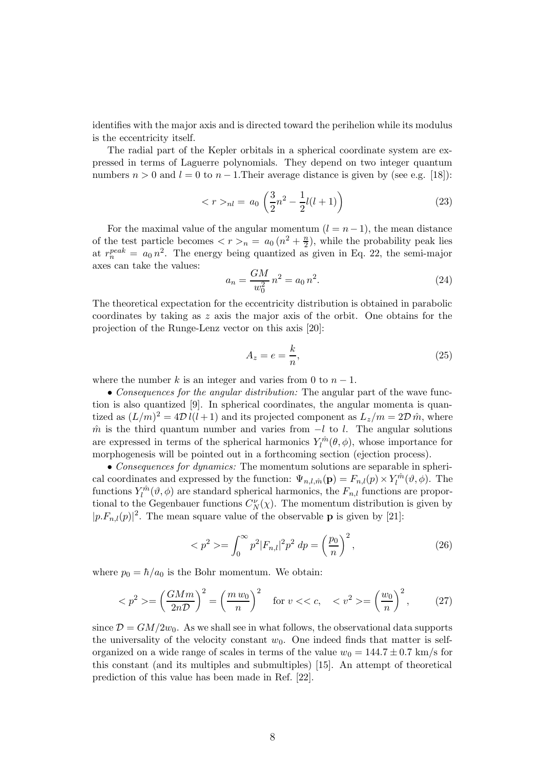identifies with the major axis and is directed toward the perihelion while its modulus is the eccentricity itself.

The radial part of the Kepler orbitals in a spherical coordinate system are expressed in terms of Laguerre polynomials. They depend on two integer quantum numbers  $n > 0$  and  $l = 0$  to  $n - 1$ . Their average distance is given by (see e.g. [18]):

$$
\langle r \rangle_{nl} = a_0 \left( \frac{3}{2} n^2 - \frac{1}{2} l(l+1) \right) \tag{23}
$$

For the maximal value of the angular momentum  $(l = n - 1)$ , the mean distance of the test particle becomes  $\langle r \rangle_n = a_0 (n^2 + \frac{n}{2})$  $\frac{n}{2}$ , while the probability peak lies at  $r_n^{peak} = a_0 n^2$ . The energy being quantized as given in Eq. 22, the semi-major axes can take the values:

$$
a_n = \frac{GM}{w_0^2} n^2 = a_0 n^2.
$$
 (24)

The theoretical expectation for the eccentricity distribution is obtained in parabolic coordinates by taking as  $z$  axis the major axis of the orbit. One obtains for the projection of the Runge-Lenz vector on this axis [20]:

$$
A_z = e = \frac{k}{n},\tag{25}
$$

where the number k is an integer and varies from 0 to  $n-1$ .

• Consequences for the angular distribution: The angular part of the wave function is also quantized [9]. In spherical coordinates, the angular momenta is quantized as  $(L/m)^2 = 4D l(l+1)$  and its projected component as  $L_z/m = 2D \hat{m}$ , where  $\hat{m}$  is the third quantum number and varies from  $-l$  to l. The angular solutions are expressed in terms of the spherical harmonics  $Y_l^{\hat{m}}(\theta, \phi)$ , whose importance for morphogenesis will be pointed out in a forthcoming section (ejection process).

• Consequences for dynamics: The momentum solutions are separable in spherical coordinates and expressed by the function:  $\Psi_{n,l,m}(\mathbf{p}) = F_{n,l}(p) \times Y_l^m(\vartheta, \phi)$ . The functions  $Y_l^{\hat{m}}(\vartheta, \phi)$  are standard spherical harmonics, the  $F_{n,l}$  functions are proportional to the Gegenbauer functions  $C_N^{\nu}(\chi)$ . The momentum distribution is given by  $|p.F_{n,l}(p)|^2$ . The mean square value of the observable **p** is given by [21]:

$$
\langle p^2 \rangle = \int_0^\infty p^2 |F_{n,l}|^2 p^2 \, dp = \left(\frac{p_0}{n}\right)^2,\tag{26}
$$

where  $p_0 = \hbar/a_0$  is the Bohr momentum. We obtain:

$$
> =  $\left(\frac{GMm}{2nD}\right)^{2} = \left(\frac{m w_{0}}{n}\right)^{2}$  for  $v << c$ ,  $> =  $\left(\frac{w_{0}}{n}\right)^{2}$ , (27)$
$$

since  $\mathcal{D} = GM/2w_0$ . As we shall see in what follows, the observational data supports the universality of the velocity constant  $w_0$ . One indeed finds that matter is selforganized on a wide range of scales in terms of the value  $w_0 = 144.7 \pm 0.7$  km/s for this constant (and its multiples and submultiples) [15]. An attempt of theoretical prediction of this value has been made in Ref. [22].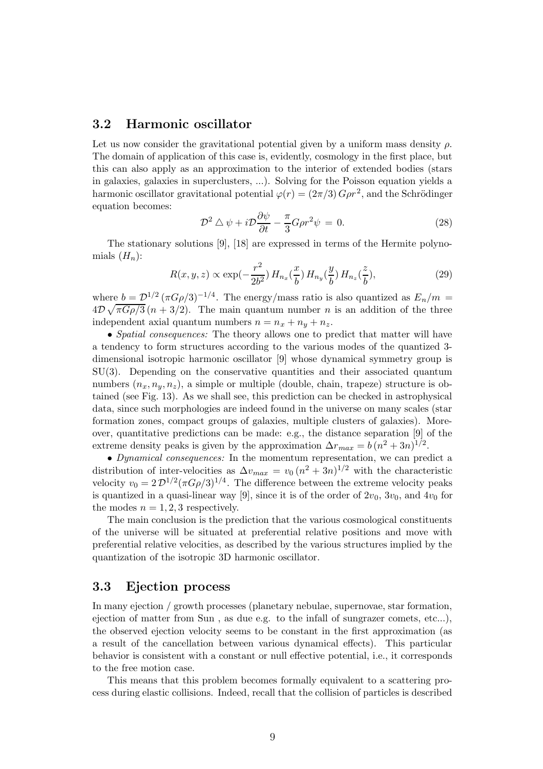### 3.2 Harmonic oscillator

Let us now consider the gravitational potential given by a uniform mass density  $\rho$ . The domain of application of this case is, evidently, cosmology in the first place, but this can also apply as an approximation to the interior of extended bodies (stars in galaxies, galaxies in superclusters, ...). Solving for the Poisson equation yields a harmonic oscillator gravitational potential  $\varphi(r) = (2\pi/3) G \rho r^2$ , and the Schrödinger equation becomes:

$$
\mathcal{D}^2 \triangle \psi + i \mathcal{D} \frac{\partial \psi}{\partial t} - \frac{\pi}{3} G \rho r^2 \psi = 0. \tag{28}
$$

The stationary solutions [9], [18] are expressed in terms of the Hermite polynomials  $(H_n)$ :

$$
R(x, y, z) \propto \exp(-\frac{r^2}{2b^2}) H_{n_x}(\frac{x}{b}) H_{n_y}(\frac{y}{b}) H_{n_z}(\frac{z}{b}), \tag{29}
$$

where  $b = \mathcal{D}^{1/2} (\pi G \rho/3)^{-1/4}$ . The energy/mass ratio is also quantized as  $E_n/m =$  $4\mathcal{D}\sqrt{\pi G\rho/3}$   $(n+3/2)$ . The main quantum number *n* is an addition of the three independent axial quantum numbers  $n = n_x + n_y + n_z$ .

• Spatial consequences: The theory allows one to predict that matter will have a tendency to form structures according to the various modes of the quantized 3 dimensional isotropic harmonic oscillator [9] whose dynamical symmetry group is SU(3). Depending on the conservative quantities and their associated quantum numbers  $(n_x, n_y, n_z)$ , a simple or multiple (double, chain, trapeze) structure is obtained (see Fig. 13). As we shall see, this prediction can be checked in astrophysical data, since such morphologies are indeed found in the universe on many scales (star formation zones, compact groups of galaxies, multiple clusters of galaxies). Moreover, quantitative predictions can be made: e.g., the distance separation [9] of the extreme density peaks is given by the approximation  $\Delta r_{max} = b (n^2 + 3n)^{1/2}$ .

• Dynamical consequences: In the momentum representation, we can predict a distribution of inter-velocities as  $\Delta v_{max} = v_0 (n^2 + 3n)^{1/2}$  with the characteristic velocity  $v_0 = 2 \mathcal{D}^{1/2} (\pi G \rho/3)^{1/4}$ . The difference between the extreme velocity peaks is quantized in a quasi-linear way [9], since it is of the order of  $2v_0$ ,  $3v_0$ , and  $4v_0$  for the modes  $n = 1, 2, 3$  respectively.

The main conclusion is the prediction that the various cosmological constituents of the universe will be situated at preferential relative positions and move with preferential relative velocities, as described by the various structures implied by the quantization of the isotropic 3D harmonic oscillator.

## 3.3 Ejection process

In many ejection / growth processes (planetary nebulae, supernovae, star formation, ejection of matter from Sun , as due e.g. to the infall of sungrazer comets, etc...), the observed ejection velocity seems to be constant in the first approximation (as a result of the cancellation between various dynamical effects). This particular behavior is consistent with a constant or null effective potential, i.e., it corresponds to the free motion case.

This means that this problem becomes formally equivalent to a scattering process during elastic collisions. Indeed, recall that the collision of particles is described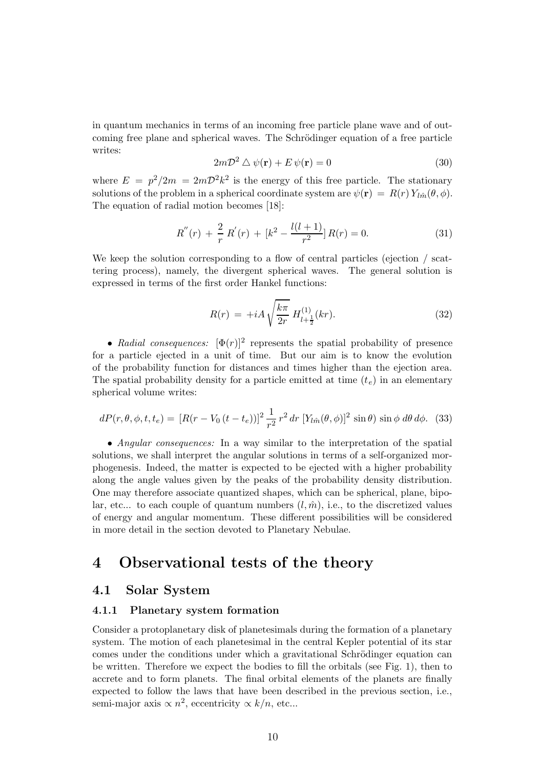in quantum mechanics in terms of an incoming free particle plane wave and of outcoming free plane and spherical waves. The Schrödinger equation of a free particle writes:

$$
2m\mathcal{D}^2 \triangle \psi(\mathbf{r}) + E\psi(\mathbf{r}) = 0 \tag{30}
$$

where  $E = p^2/2m = 2m\mathcal{D}^2k^2$  is the energy of this free particle. The stationary solutions of the problem in a spherical coordinate system are  $\psi(\mathbf{r}) = R(r) Y_{lm}(\theta, \phi)$ . The equation of radial motion becomes [18]:

$$
R''(r) + \frac{2}{r} R'(r) + [k^2 - \frac{l(l+1)}{r^2}] R(r) = 0.
$$
 (31)

We keep the solution corresponding to a flow of central particles (ejection / scattering process), namely, the divergent spherical waves. The general solution is expressed in terms of the first order Hankel functions:

$$
R(r) = +iA\sqrt{\frac{k\pi}{2r}} H_{l+\frac{1}{2}}^{(1)}(kr). \tag{32}
$$

• Radial consequences:  $[\Phi(r)]^2$  represents the spatial probability of presence for a particle ejected in a unit of time. But our aim is to know the evolution of the probability function for distances and times higher than the ejection area. The spatial probability density for a particle emitted at time  $(t_e)$  in an elementary spherical volume writes:

$$
dP(r, \theta, \phi, t, t_e) = [R(r - V_0(t - t_e))]^2 \frac{1}{r^2} r^2 dr [Y_{l\hat{m}}(\theta, \phi)]^2 \sin \theta \sin \phi d\theta d\phi. (33)
$$

• Angular consequences: In a way similar to the interpretation of the spatial solutions, we shall interpret the angular solutions in terms of a self-organized morphogenesis. Indeed, the matter is expected to be ejected with a higher probability along the angle values given by the peaks of the probability density distribution. One may therefore associate quantized shapes, which can be spherical, plane, bipolar, etc... to each couple of quantum numbers  $(l, \hat{m})$ , i.e., to the discretized values of energy and angular momentum. These different possibilities will be considered in more detail in the section devoted to Planetary Nebulae.

## 4 Observational tests of the theory

## 4.1 Solar System

#### 4.1.1 Planetary system formation

Consider a protoplanetary disk of planetesimals during the formation of a planetary system. The motion of each planetesimal in the central Kepler potential of its star comes under the conditions under which a gravitational Schrödinger equation can be written. Therefore we expect the bodies to fill the orbitals (see Fig. 1), then to accrete and to form planets. The final orbital elements of the planets are finally expected to follow the laws that have been described in the previous section, i.e., semi-major axis  $\propto n^2$ , eccentricity  $\propto k/n$ , etc...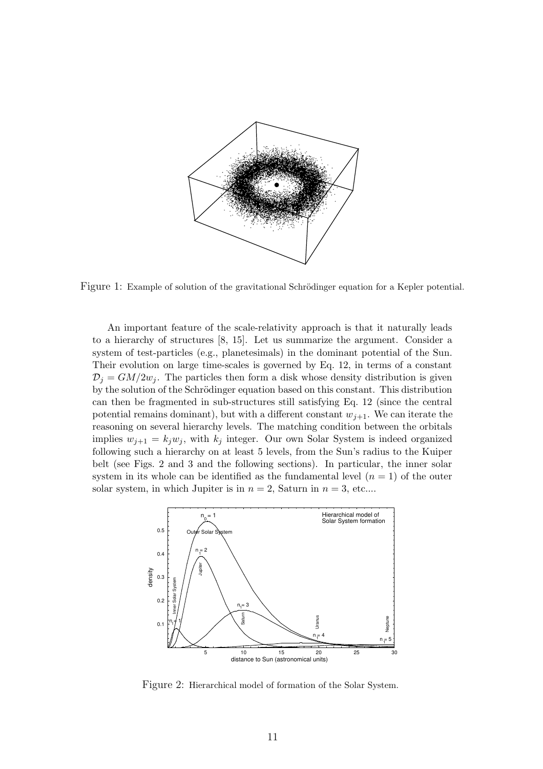

Figure 1: Example of solution of the gravitational Schrödinger equation for a Kepler potential.

An important feature of the scale-relativity approach is that it naturally leads to a hierarchy of structures [8, 15]. Let us summarize the argument. Consider a system of test-particles (e.g., planetesimals) in the dominant potential of the Sun. Their evolution on large time-scales is governed by Eq. 12, in terms of a constant  $\mathcal{D}_i = GM/2w_i$ . The particles then form a disk whose density distribution is given by the solution of the Schrödinger equation based on this constant. This distribution can then be fragmented in sub-structures still satisfying Eq. 12 (since the central potential remains dominant), but with a different constant  $w_{j+1}$ . We can iterate the reasoning on several hierarchy levels. The matching condition between the orbitals implies  $w_{i+1} = k_i w_i$ , with  $k_i$  integer. Our own Solar System is indeed organized following such a hierarchy on at least 5 levels, from the Sun's radius to the Kuiper belt (see Figs. 2 and 3 and the following sections). In particular, the inner solar system in its whole can be identified as the fundamental level  $(n = 1)$  of the outer solar system, in which Jupiter is in  $n = 2$ , Saturn in  $n = 3$ , etc....



Figure 2: Hierarchical model of formation of the Solar System.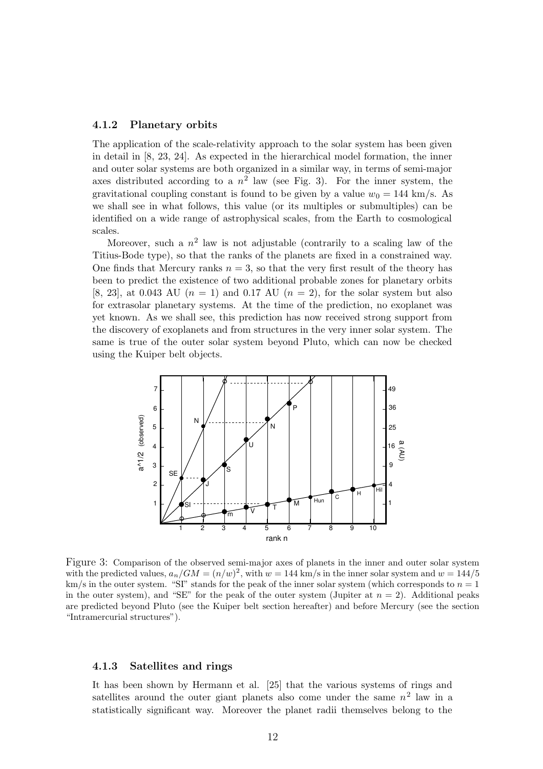#### 4.1.2 Planetary orbits

The application of the scale-relativity approach to the solar system has been given in detail in [8, 23, 24]. As expected in the hierarchical model formation, the inner and outer solar systems are both organized in a similar way, in terms of semi-major axes distributed according to a  $n^2$  law (see Fig. 3). For the inner system, the gravitational coupling constant is found to be given by a value  $w_0 = 144$  km/s. As we shall see in what follows, this value (or its multiples or submultiples) can be identified on a wide range of astrophysical scales, from the Earth to cosmological scales.

Moreover, such a  $n^2$  law is not adjustable (contrarily to a scaling law of the Titius-Bode type), so that the ranks of the planets are fixed in a constrained way. One finds that Mercury ranks  $n = 3$ , so that the very first result of the theory has been to predict the existence of two additional probable zones for planetary orbits [8, 23], at 0.043 AU  $(n = 1)$  and 0.17 AU  $(n = 2)$ , for the solar system but also for extrasolar planetary systems. At the time of the prediction, no exoplanet was yet known. As we shall see, this prediction has now received strong support from the discovery of exoplanets and from structures in the very inner solar system. The same is true of the outer solar system beyond Pluto, which can now be checked using the Kuiper belt objects.



Figure 3: Comparison of the observed semi-major axes of planets in the inner and outer solar system with the predicted values,  $a_n/GM = (n/w)^2$ , with  $w = 144 \text{ km/s}$  in the inner solar system and  $w = 144/5$ km/s in the outer system. "SI" stands for the peak of the inner solar system (which corresponds to  $n = 1$ ) in the outer system), and "SE" for the peak of the outer system (Jupiter at  $n = 2$ ). Additional peaks are predicted beyond Pluto (see the Kuiper belt section hereafter) and before Mercury (see the section "Intramercurial structures").

#### 4.1.3 Satellites and rings

It has been shown by Hermann et al. [25] that the various systems of rings and satellites around the outer giant planets also come under the same  $n^2$  law in a statistically significant way. Moreover the planet radii themselves belong to the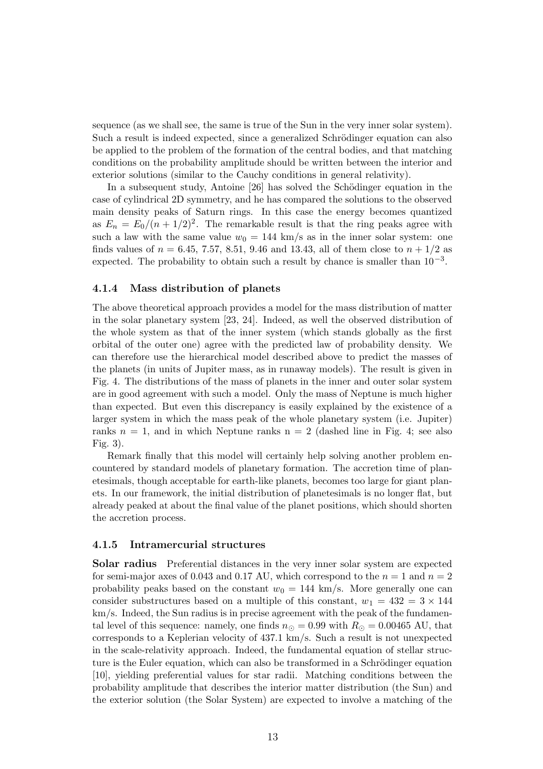sequence (as we shall see, the same is true of the Sun in the very inner solar system). Such a result is indeed expected, since a generalized Schrödinger equation can also be applied to the problem of the formation of the central bodies, and that matching conditions on the probability amplitude should be written between the interior and exterior solutions (similar to the Cauchy conditions in general relativity).

In a subsequent study, Antoine [26] has solved the Schödinger equation in the case of cylindrical 2D symmetry, and he has compared the solutions to the observed main density peaks of Saturn rings. In this case the energy becomes quantized as  $E_n = E_0/(n + 1/2)^2$ . The remarkable result is that the ring peaks agree with such a law with the same value  $w_0 = 144$  km/s as in the inner solar system: one finds values of  $n = 6.45, 7.57, 8.51, 9.46$  and 13.43, all of them close to  $n + 1/2$  as expected. The probability to obtain such a result by chance is smaller than  $10^{-3}$ .

#### 4.1.4 Mass distribution of planets

The above theoretical approach provides a model for the mass distribution of matter in the solar planetary system [23, 24]. Indeed, as well the observed distribution of the whole system as that of the inner system (which stands globally as the first orbital of the outer one) agree with the predicted law of probability density. We can therefore use the hierarchical model described above to predict the masses of the planets (in units of Jupiter mass, as in runaway models). The result is given in Fig. 4. The distributions of the mass of planets in the inner and outer solar system are in good agreement with such a model. Only the mass of Neptune is much higher than expected. But even this discrepancy is easily explained by the existence of a larger system in which the mass peak of the whole planetary system (i.e. Jupiter) ranks  $n = 1$ , and in which Neptune ranks  $n = 2$  (dashed line in Fig. 4; see also Fig. 3).

Remark finally that this model will certainly help solving another problem encountered by standard models of planetary formation. The accretion time of planetesimals, though acceptable for earth-like planets, becomes too large for giant planets. In our framework, the initial distribution of planetesimals is no longer flat, but already peaked at about the final value of the planet positions, which should shorten the accretion process.

#### 4.1.5 Intramercurial structures

Solar radius Preferential distances in the very inner solar system are expected for semi-major axes of 0.043 and 0.17 AU, which correspond to the  $n = 1$  and  $n = 2$ probability peaks based on the constant  $w_0 = 144$  km/s. More generally one can consider substructures based on a multiple of this constant,  $w_1 = 432 = 3 \times 144$ km/s. Indeed, the Sun radius is in precise agreement with the peak of the fundamental level of this sequence: namely, one finds  $n_{\odot} = 0.99$  with  $R_{\odot} = 0.00465$  AU, that corresponds to a Keplerian velocity of 437.1 km/s. Such a result is not unexpected in the scale-relativity approach. Indeed, the fundamental equation of stellar structure is the Euler equation, which can also be transformed in a Schrödinger equation [10], yielding preferential values for star radii. Matching conditions between the probability amplitude that describes the interior matter distribution (the Sun) and the exterior solution (the Solar System) are expected to involve a matching of the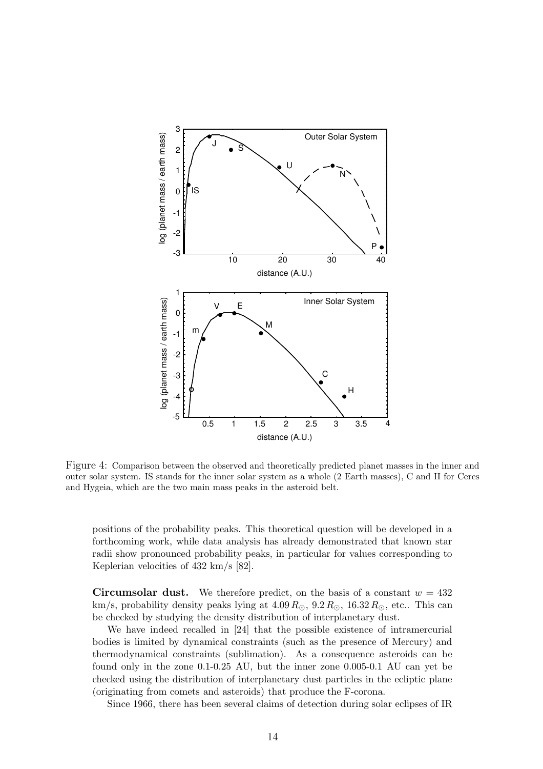

Figure 4: Comparison between the observed and theoretically predicted planet masses in the inner and outer solar system. IS stands for the inner solar system as a whole (2 Earth masses), C and H for Ceres and Hygeia, which are the two main mass peaks in the asteroid belt.

positions of the probability peaks. This theoretical question will be developed in a forthcoming work, while data analysis has already demonstrated that known star radii show pronounced probability peaks, in particular for values corresponding to Keplerian velocities of 432 km/s [82].

**Circumsolar dust.** We therefore predict, on the basis of a constant  $w = 432$ km/s, probability density peaks lying at  $4.09 R_{\odot}$ ,  $9.2 R_{\odot}$ ,  $16.32 R_{\odot}$ , etc.. This can be checked by studying the density distribution of interplanetary dust.

We have indeed recalled in [24] that the possible existence of intramercurial bodies is limited by dynamical constraints (such as the presence of Mercury) and thermodynamical constraints (sublimation). As a consequence asteroids can be found only in the zone 0.1-0.25 AU, but the inner zone 0.005-0.1 AU can yet be checked using the distribution of interplanetary dust particles in the ecliptic plane (originating from comets and asteroids) that produce the F-corona.

Since 1966, there has been several claims of detection during solar eclipses of IR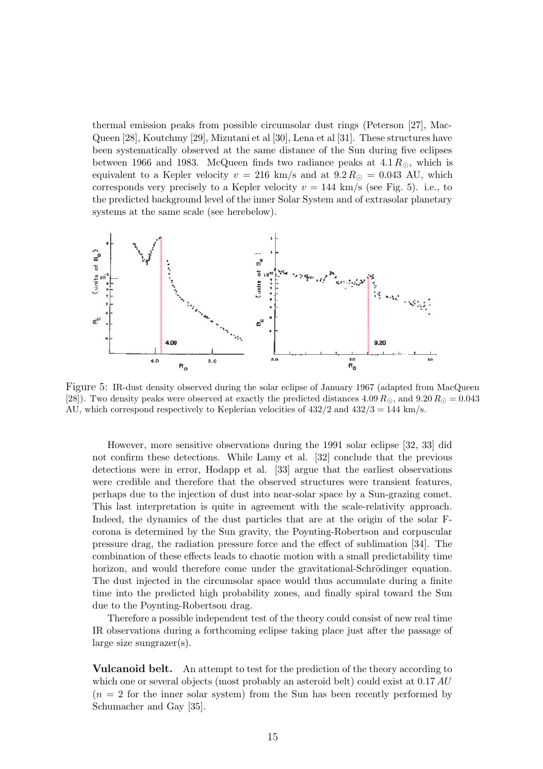thermal emission peaks from possible circumsolar dust rings (Peterson [27], Mac-Queen [28], Koutchmy [29], Mizutani et al [30], Lena et al [31]. These structures have been systematically observed at the same distance of the Sun during five eclipses between 1966 and 1983. McQueen finds two radiance peaks at  $4.1 R_{\odot}$ , which is equivalent to a Kepler velocity  $v = 216$  km/s and at  $9.2 R_{\odot} = 0.043$  AU, which corresponds very precisely to a Kepler velocity  $v = 144$  km/s (see Fig. 5). i.e., to the predicted background level of the inner Solar System and of extrasolar planetary systems at the same scale (see herebelow).



Figure 5: IR-dust density observed during the solar eclipse of January 1967 (adapted from MacQueen [28]). Two density peaks were observed at exactly the predicted distances  $4.09 R_{\odot}$ , and  $9.20 R_{\odot} = 0.043$ AU, which correspond respectively to Keplerian velocities of  $432/2$  and  $432/3 = 144$  km/s.

However, more sensitive observations during the 1991 solar eclipse [32, 33] did not confirm these detections. While Lamy et al. [32] conclude that the previous detections were in error, Hodapp et al. [33] argue that the earliest observations were credible and therefore that the observed structures were transient features, perhaps due to the injection of dust into near-solar space by a Sun-grazing comet. This last interpretation is quite in agreement with the scale-relativity approach. Indeed, the dynamics of the dust particles that are at the origin of the solar Fcorona is determined by the Sun gravity, the Poynting-Robertson and corpuscular pressure drag, the radiation pressure force and the effect of sublimation [34]. The combination of these effects leads to chaotic motion with a small predictability time horizon, and would therefore come under the gravitational-Schrödinger equation. The dust injected in the circumsolar space would thus accumulate during a finite time into the predicted high probability zones, and finally spiral toward the Sun due to the Poynting-Robertson drag.

Therefore a possible independent test of the theory could consist of new real time IR observations during a forthcoming eclipse taking place just after the passage of large size sungrazer(s).

Vulcanoid belt. An attempt to test for the prediction of the theory according to which one or several objects (most probably an asteroid belt) could exist at  $0.17 AU$  $(n = 2$  for the inner solar system) from the Sun has been recently performed by Schumacher and Gay [35].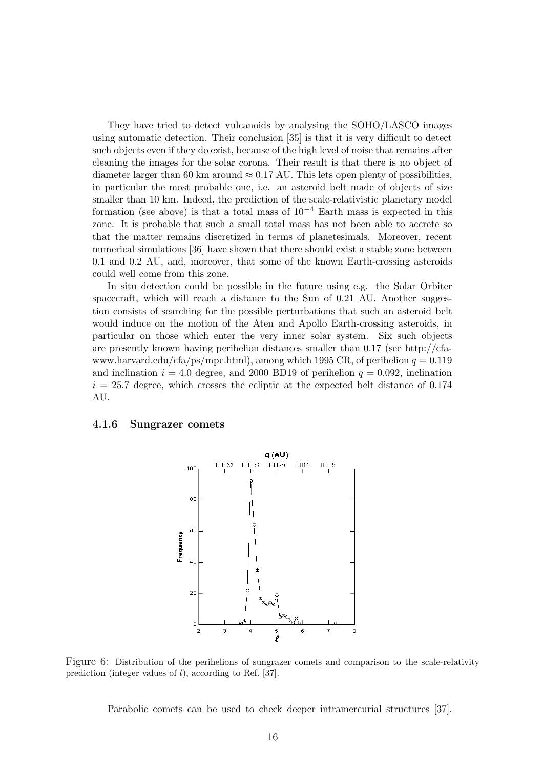They have tried to detect vulcanoids by analysing the SOHO/LASCO images using automatic detection. Their conclusion [35] is that it is very difficult to detect such objects even if they do exist, because of the high level of noise that remains after cleaning the images for the solar corona. Their result is that there is no object of diameter larger than 60 km around  $\approx 0.17$  AU. This lets open plenty of possibilities, in particular the most probable one, i.e. an asteroid belt made of objects of size smaller than 10 km. Indeed, the prediction of the scale-relativistic planetary model formation (see above) is that a total mass of  $10^{-4}$  Earth mass is expected in this zone. It is probable that such a small total mass has not been able to accrete so that the matter remains discretized in terms of planetesimals. Moreover, recent numerical simulations [36] have shown that there should exist a stable zone between 0.1 and 0.2 AU, and, moreover, that some of the known Earth-crossing asteroids could well come from this zone.

In situ detection could be possible in the future using e.g. the Solar Orbiter spacecraft, which will reach a distance to the Sun of 0.21 AU. Another suggestion consists of searching for the possible perturbations that such an asteroid belt would induce on the motion of the Aten and Apollo Earth-crossing asteroids, in particular on those which enter the very inner solar system. Six such objects are presently known having perihelion distances smaller than  $0.17$  (see http://cfawww.harvard.edu/cfa/ps/mpc.html), among which 1995 CR, of perihelion  $q = 0.119$ and inclination  $i = 4.0$  degree, and 2000 BD19 of perihelion  $q = 0.092$ , inclination  $i = 25.7$  degree, which crosses the ecliptic at the expected belt distance of 0.174 AU.

#### 4.1.6 Sungrazer comets



Figure 6: Distribution of the perihelions of sungrazer comets and comparison to the scale-relativity prediction (integer values of l), according to Ref. [37].

Parabolic comets can be used to check deeper intramercurial structures [37].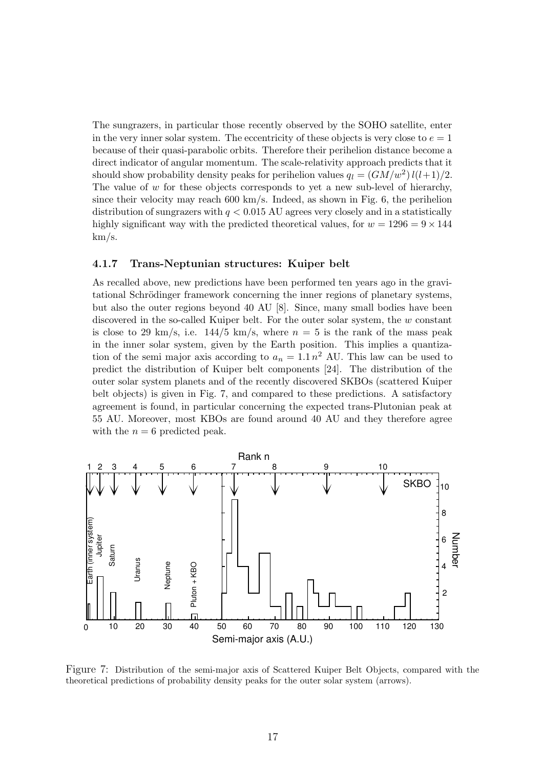The sungrazers, in particular those recently observed by the SOHO satellite, enter in the very inner solar system. The eccentricity of these objects is very close to  $e = 1$ because of their quasi-parabolic orbits. Therefore their perihelion distance become a direct indicator of angular momentum. The scale-relativity approach predicts that it should show probability density peaks for perihelion values  $q_l = (GM/w^2) l(l+1)/2$ . The value of  $w$  for these objects corresponds to yet a new sub-level of hierarchy, since their velocity may reach  $600 \text{ km/s}$ . Indeed, as shown in Fig. 6, the perihelion distribution of sungrazers with  $q < 0.015$  AU agrees very closely and in a statistically highly significant way with the predicted theoretical values, for  $w = 1296 = 9 \times 144$ km/s.

#### 4.1.7 Trans-Neptunian structures: Kuiper belt

As recalled above, new predictions have been performed ten years ago in the gravitational Schrödinger framework concerning the inner regions of planetary systems, but also the outer regions beyond 40 AU [8]. Since, many small bodies have been discovered in the so-called Kuiper belt. For the outer solar system, the  $w$  constant is close to 29 km/s, i.e.  $144/5$  km/s, where  $n = 5$  is the rank of the mass peak in the inner solar system, given by the Earth position. This implies a quantization of the semi major axis according to  $a_n = 1.1 n^2$  AU. This law can be used to predict the distribution of Kuiper belt components [24]. The distribution of the outer solar system planets and of the recently discovered SKBOs (scattered Kuiper belt objects) is given in Fig. 7, and compared to these predictions. A satisfactory agreement is found, in particular concerning the expected trans-Plutonian peak at 55 AU. Moreover, most KBOs are found around 40 AU and they therefore agree with the  $n = 6$  predicted peak.



Figure 7: Distribution of the semi-major axis of Scattered Kuiper Belt Objects, compared with the theoretical predictions of probability density peaks for the outer solar system (arrows).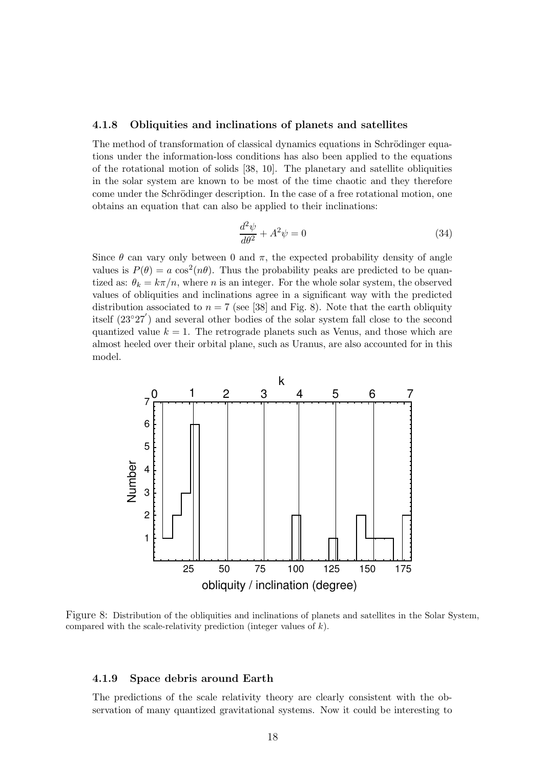#### 4.1.8 Obliquities and inclinations of planets and satellites

The method of transformation of classical dynamics equations in Schrödinger equations under the information-loss conditions has also been applied to the equations of the rotational motion of solids [38, 10]. The planetary and satellite obliquities in the solar system are known to be most of the time chaotic and they therefore come under the Schrödinger description. In the case of a free rotational motion, one obtains an equation that can also be applied to their inclinations:

$$
\frac{d^2\psi}{d\theta^2} + A^2\psi = 0\tag{34}
$$

Since  $\theta$  can vary only between 0 and  $\pi$ , the expected probability density of angle values is  $P(\theta) = a \cos^2(n\theta)$ . Thus the probability peaks are predicted to be quantized as:  $\theta_k = k\pi/n$ , where *n* is an integer. For the whole solar system, the observed values of obliquities and inclinations agree in a significant way with the predicted distribution associated to  $n = 7$  (see [38] and Fig. 8). Note that the earth obliquity itself  $(23°27')$  and several other bodies of the solar system fall close to the second quantized value  $k = 1$ . The retrograde planets such as Venus, and those which are almost heeled over their orbital plane, such as Uranus, are also accounted for in this model.



Figure 8: Distribution of the obliquities and inclinations of planets and satellites in the Solar System, compared with the scale-relativity prediction (integer values of  $k$ ).

#### 4.1.9 Space debris around Earth

The predictions of the scale relativity theory are clearly consistent with the observation of many quantized gravitational systems. Now it could be interesting to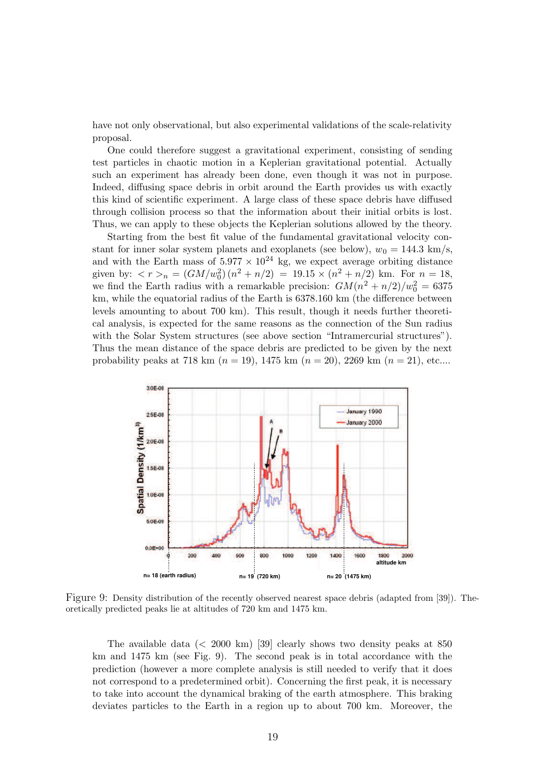have not only observational, but also experimental validations of the scale-relativity proposal.

One could therefore suggest a gravitational experiment, consisting of sending test particles in chaotic motion in a Keplerian gravitational potential. Actually such an experiment has already been done, even though it was not in purpose. Indeed, diffusing space debris in orbit around the Earth provides us with exactly this kind of scientific experiment. A large class of these space debris have diffused through collision process so that the information about their initial orbits is lost. Thus, we can apply to these objects the Keplerian solutions allowed by the theory.

Starting from the best fit value of the fundamental gravitational velocity constant for inner solar system planets and exoplanets (see below),  $w_0 = 144.3 \text{ km/s}$ , and with the Earth mass of  $5.977 \times 10^{24}$  kg, we expect average orbiting distance given by:  $\langle r \rangle_n = (GM/w_0^2)(n^2 + n/2) = 19.15 \times (n^2 + n/2)$  km. For  $n = 18$ , we find the Earth radius with a remarkable precision:  $GM(n^2 + n/2)/w_0^2 = 6375$ km, while the equatorial radius of the Earth is 6378.160 km (the difference between levels amounting to about 700 km). This result, though it needs further theoretical analysis, is expected for the same reasons as the connection of the Sun radius with the Solar System structures (see above section "Intramercurial structures"). Thus the mean distance of the space debris are predicted to be given by the next probability peaks at 718 km  $(n = 19)$ , 1475 km  $(n = 20)$ , 2269 km  $(n = 21)$ , etc....



Figure 9: Density distribution of the recently observed nearest space debris (adapted from [39]). Theoretically predicted peaks lie at altitudes of 720 km and 1475 km.

The available data  $\langle$  2000 km) [39] clearly shows two density peaks at 850 km and 1475 km (see Fig. 9). The second peak is in total accordance with the prediction (however a more complete analysis is still needed to verify that it does not correspond to a predetermined orbit). Concerning the first peak, it is necessary to take into account the dynamical braking of the earth atmosphere. This braking deviates particles to the Earth in a region up to about 700 km. Moreover, the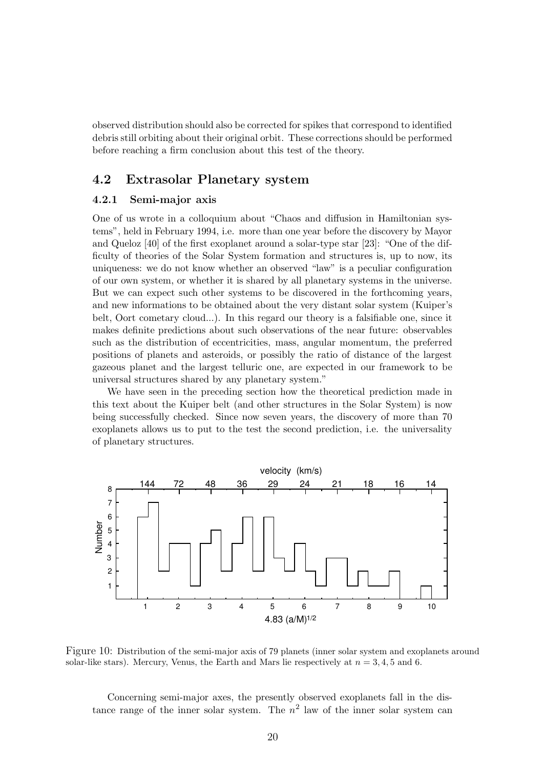observed distribution should also be corrected for spikes that correspond to identified debris still orbiting about their original orbit. These corrections should be performed before reaching a firm conclusion about this test of the theory.

## 4.2 Extrasolar Planetary system

#### 4.2.1 Semi-major axis

One of us wrote in a colloquium about "Chaos and diffusion in Hamiltonian systems", held in February 1994, i.e. more than one year before the discovery by Mayor and Queloz [40] of the first exoplanet around a solar-type star [23]: "One of the difficulty of theories of the Solar System formation and structures is, up to now, its uniqueness: we do not know whether an observed "law" is a peculiar configuration of our own system, or whether it is shared by all planetary systems in the universe. But we can expect such other systems to be discovered in the forthcoming years, and new informations to be obtained about the very distant solar system (Kuiper's belt, Oort cometary cloud...). In this regard our theory is a falsifiable one, since it makes definite predictions about such observations of the near future: observables such as the distribution of eccentricities, mass, angular momentum, the preferred positions of planets and asteroids, or possibly the ratio of distance of the largest gazeous planet and the largest telluric one, are expected in our framework to be universal structures shared by any planetary system."

We have seen in the preceding section how the theoretical prediction made in this text about the Kuiper belt (and other structures in the Solar System) is now being successfully checked. Since now seven years, the discovery of more than 70 exoplanets allows us to put to the test the second prediction, i.e. the universality of planetary structures.



Figure 10: Distribution of the semi-major axis of 79 planets (inner solar system and exoplanets around solar-like stars). Mercury, Venus, the Earth and Mars lie respectively at  $n = 3, 4, 5$  and 6.

Concerning semi-major axes, the presently observed exoplanets fall in the distance range of the inner solar system. The  $n^2$  law of the inner solar system can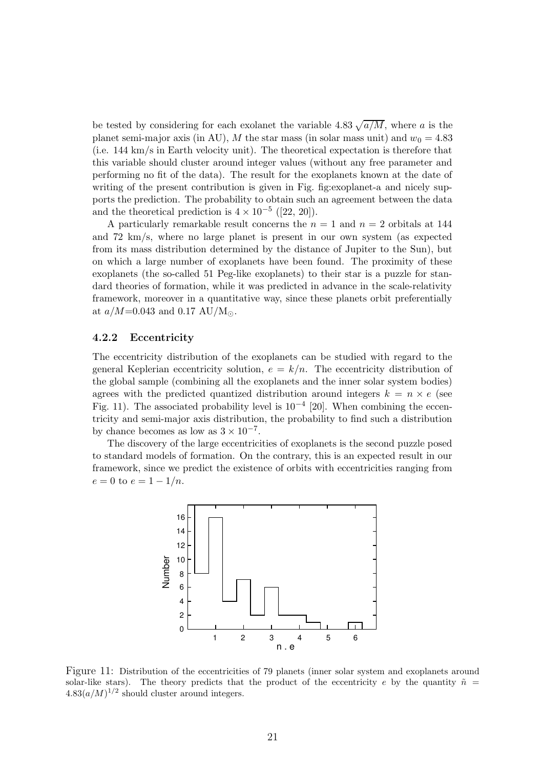be tested by considering for each exolanet the variable 4.83  $\sqrt{a/M}$ , where a is the planet semi-major axis (in AU), M the star mass (in solar mass unit) and  $w_0 = 4.83$ (i.e. 144 km/s in Earth velocity unit). The theoretical expectation is therefore that this variable should cluster around integer values (without any free parameter and performing no fit of the data). The result for the exoplanets known at the date of writing of the present contribution is given in Fig. fig:exoplanet-a and nicely supports the prediction. The probability to obtain such an agreement between the data and the theoretical prediction is  $4 \times 10^{-5}$  ([22, 20]).

A particularly remarkable result concerns the  $n = 1$  and  $n = 2$  orbitals at 144 and 72 km/s, where no large planet is present in our own system (as expected from its mass distribution determined by the distance of Jupiter to the Sun), but on which a large number of exoplanets have been found. The proximity of these exoplanets (the so-called 51 Peg-like exoplanets) to their star is a puzzle for standard theories of formation, while it was predicted in advance in the scale-relativity framework, moreover in a quantitative way, since these planets orbit preferentially at  $a/M = 0.043$  and 0.17 AU/M<sub> $\odot$ </sub>.

#### 4.2.2 Eccentricity

The eccentricity distribution of the exoplanets can be studied with regard to the general Keplerian eccentricity solution,  $e = k/n$ . The eccentricity distribution of the global sample (combining all the exoplanets and the inner solar system bodies) agrees with the predicted quantized distribution around integers  $k = n \times e$  (see Fig. 11). The associated probability level is  $10^{-4}$  [20]. When combining the eccentricity and semi-major axis distribution, the probability to find such a distribution by chance becomes as low as  $3 \times 10^{-7}$ .

The discovery of the large eccentricities of exoplanets is the second puzzle posed to standard models of formation. On the contrary, this is an expected result in our framework, since we predict the existence of orbits with eccentricities ranging from  $e = 0$  to  $e = 1 - 1/n$ .



Figure 11: Distribution of the eccentricities of 79 planets (inner solar system and exoplanets around solar-like stars). The theory predicts that the product of the eccentricity e by the quantity  $\tilde{n}$  =  $4.83(a/M)^{1/2}$  should cluster around integers.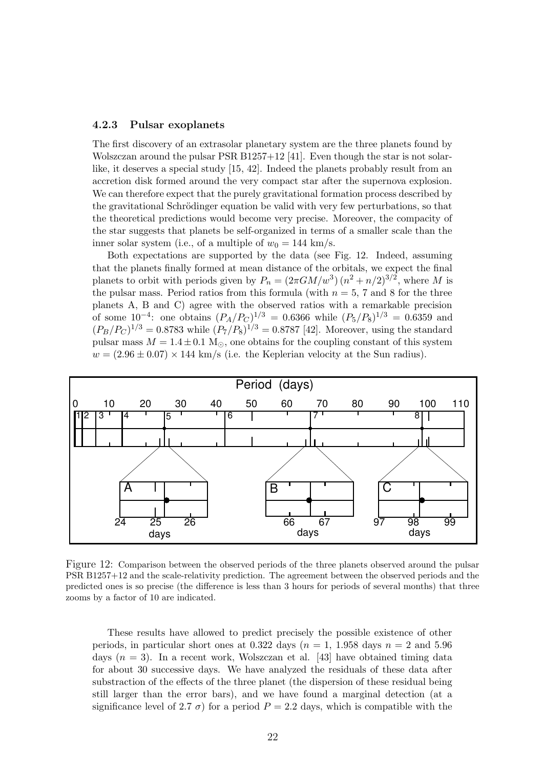#### 4.2.3 Pulsar exoplanets

The first discovery of an extrasolar planetary system are the three planets found by Wolszczan around the pulsar PSR B1257+12 [41]. Even though the star is not solarlike, it deserves a special study [15, 42]. Indeed the planets probably result from an accretion disk formed around the very compact star after the supernova explosion. We can therefore expect that the purely gravitational formation process described by the gravitational Schrödinger equation be valid with very few perturbations, so that the theoretical predictions would become very precise. Moreover, the compacity of the star suggests that planets be self-organized in terms of a smaller scale than the inner solar system (i.e., of a multiple of  $w_0 = 144$  km/s.

Both expectations are supported by the data (see Fig. 12. Indeed, assuming that the planets finally formed at mean distance of the orbitals, we expect the final planets to orbit with periods given by  $P_n = (2\pi GM/w^3)(n^2 + n/2)^{3/2}$ , where M is the pulsar mass. Period ratios from this formula (with  $n = 5$ , 7 and 8 for the three planets A, B and C) agree with the observed ratios with a remarkable precision of some  $10^{-4}$ : one obtains  $(P_A/P_C)^{1/3} = 0.6366$  while  $(P_5/P_8)^{1/3} = 0.6359$  and  $(P_B/P_C)^{1/3} = 0.8783$  while  $(P_7/P_8)^{1/3} = 0.8787$  [42]. Moreover, using the standard pulsar mass  $M = 1.4 \pm 0.1$  M<sub> $\odot$ </sub>, one obtains for the coupling constant of this system  $w = (2.96 \pm 0.07) \times 144$  km/s (i.e. the Keplerian velocity at the Sun radius).



Figure 12: Comparison between the observed periods of the three planets observed around the pulsar PSR B1257+12 and the scale-relativity prediction. The agreement between the observed periods and the predicted ones is so precise (the difference is less than 3 hours for periods of several months) that three zooms by a factor of 10 are indicated.

These results have allowed to predict precisely the possible existence of other periods, in particular short ones at 0.322 days  $(n = 1, 1.958$  days  $n = 2$  and 5.96 days  $(n = 3)$ . In a recent work, Wolszczan et al. [43] have obtained timing data for about 30 successive days. We have analyzed the residuals of these data after substraction of the effects of the three planet (the dispersion of these residual being still larger than the error bars), and we have found a marginal detection (at a significance level of 2.7  $\sigma$ ) for a period  $P = 2.2$  days, which is compatible with the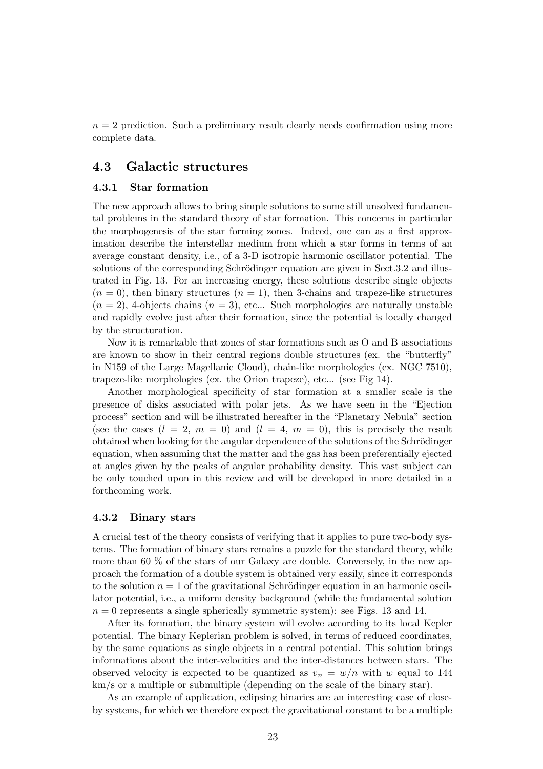$n = 2$  prediction. Such a preliminary result clearly needs confirmation using more complete data.

## 4.3 Galactic structures

### 4.3.1 Star formation

The new approach allows to bring simple solutions to some still unsolved fundamental problems in the standard theory of star formation. This concerns in particular the morphogenesis of the star forming zones. Indeed, one can as a first approximation describe the interstellar medium from which a star forms in terms of an average constant density, i.e., of a 3-D isotropic harmonic oscillator potential. The solutions of the corresponding Schrödinger equation are given in Sect.3.2 and illustrated in Fig. 13. For an increasing energy, these solutions describe single objects  $(n = 0)$ , then binary structures  $(n = 1)$ , then 3-chains and trapeze-like structures  $(n = 2)$ , 4-objects chains  $(n = 3)$ , etc... Such morphologies are naturally unstable and rapidly evolve just after their formation, since the potential is locally changed by the structuration.

Now it is remarkable that zones of star formations such as O and B associations are known to show in their central regions double structures (ex. the "butterfly" in N159 of the Large Magellanic Cloud), chain-like morphologies (ex. NGC 7510), trapeze-like morphologies (ex. the Orion trapeze), etc... (see Fig 14).

Another morphological specificity of star formation at a smaller scale is the presence of disks associated with polar jets. As we have seen in the "Ejection process" section and will be illustrated hereafter in the "Planetary Nebula" section (see the cases  $(l = 2, m = 0)$  and  $(l = 4, m = 0)$ , this is precisely the result obtained when looking for the angular dependence of the solutions of the Schrödinger equation, when assuming that the matter and the gas has been preferentially ejected at angles given by the peaks of angular probability density. This vast subject can be only touched upon in this review and will be developed in more detailed in a forthcoming work.

#### 4.3.2 Binary stars

A crucial test of the theory consists of verifying that it applies to pure two-body systems. The formation of binary stars remains a puzzle for the standard theory, while more than 60 % of the stars of our Galaxy are double. Conversely, in the new approach the formation of a double system is obtained very easily, since it corresponds to the solution  $n = 1$  of the gravitational Schrödinger equation in an harmonic oscillator potential, i.e., a uniform density background (while the fundamental solution  $n = 0$  represents a single spherically symmetric system): see Figs. 13 and 14.

After its formation, the binary system will evolve according to its local Kepler potential. The binary Keplerian problem is solved, in terms of reduced coordinates, by the same equations as single objects in a central potential. This solution brings informations about the inter-velocities and the inter-distances between stars. The observed velocity is expected to be quantized as  $v_n = w/n$  with w equal to 144 km/s or a multiple or submultiple (depending on the scale of the binary star).

As an example of application, eclipsing binaries are an interesting case of closeby systems, for which we therefore expect the gravitational constant to be a multiple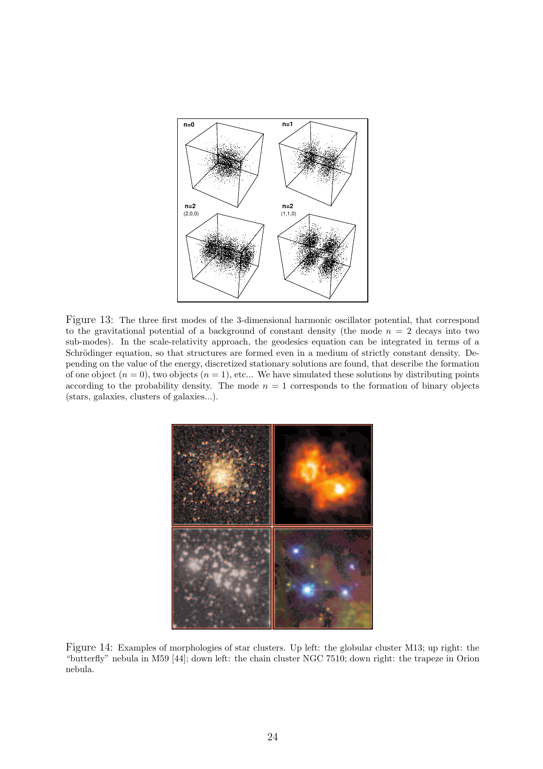

Figure 13: The three first modes of the 3-dimensional harmonic oscillator potential, that correspond to the gravitational potential of a background of constant density (the mode  $n = 2$  decays into two sub-modes). In the scale-relativity approach, the geodesics equation can be integrated in terms of a Schrödinger equation, so that structures are formed even in a medium of strictly constant density. Depending on the value of the energy, discretized stationary solutions are found, that describe the formation of one object  $(n = 0)$ , two objects  $(n = 1)$ , etc... We have simulated these solutions by distributing points according to the probability density. The mode  $n = 1$  corresponds to the formation of binary objects (stars, galaxies, clusters of galaxies...).



Figure 14: Examples of morphologies of star clusters. Up left: the globular cluster M13; up right: the "butterfly" nebula in M59 [44]; down left: the chain cluster NGC 7510; down right: the trapeze in Orion nebula.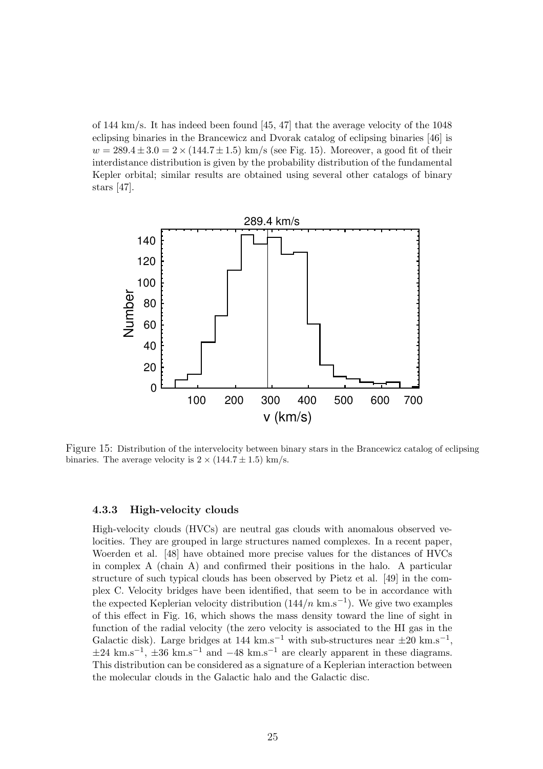of 144 km/s. It has indeed been found [45, 47] that the average velocity of the 1048 eclipsing binaries in the Brancewicz and Dvorak catalog of eclipsing binaries [46] is  $w = 289.4 \pm 3.0 = 2 \times (144.7 \pm 1.5)$  km/s (see Fig. 15). Moreover, a good fit of their interdistance distribution is given by the probability distribution of the fundamental Kepler orbital; similar results are obtained using several other catalogs of binary stars [47].



Figure 15: Distribution of the intervelocity between binary stars in the Brancewicz catalog of eclipsing binaries. The average velocity is  $2 \times (144.7 \pm 1.5)$  km/s.

#### 4.3.3 High-velocity clouds

High-velocity clouds (HVCs) are neutral gas clouds with anomalous observed velocities. They are grouped in large structures named complexes. In a recent paper, Woerden et al. [48] have obtained more precise values for the distances of HVCs in complex A (chain A) and confirmed their positions in the halo. A particular structure of such typical clouds has been observed by Pietz et al. [49] in the complex C. Velocity bridges have been identified, that seem to be in accordance with the expected Keplerian velocity distribution  $(144/n \text{ km.s}^{-1})$ . We give two examples of this effect in Fig. 16, which shows the mass density toward the line of sight in function of the radial velocity (the zero velocity is associated to the HI gas in the Galactic disk). Large bridges at  $144 \text{ km.s}^{-1}$  with sub-structures near  $\pm 20 \text{ km.s}^{-1}$ ,  $\pm 24 \text{ km.s}^{-1}$ ,  $\pm 36 \text{ km.s}^{-1}$  and  $-48 \text{ km.s}^{-1}$  are clearly apparent in these diagrams. This distribution can be considered as a signature of a Keplerian interaction between the molecular clouds in the Galactic halo and the Galactic disc.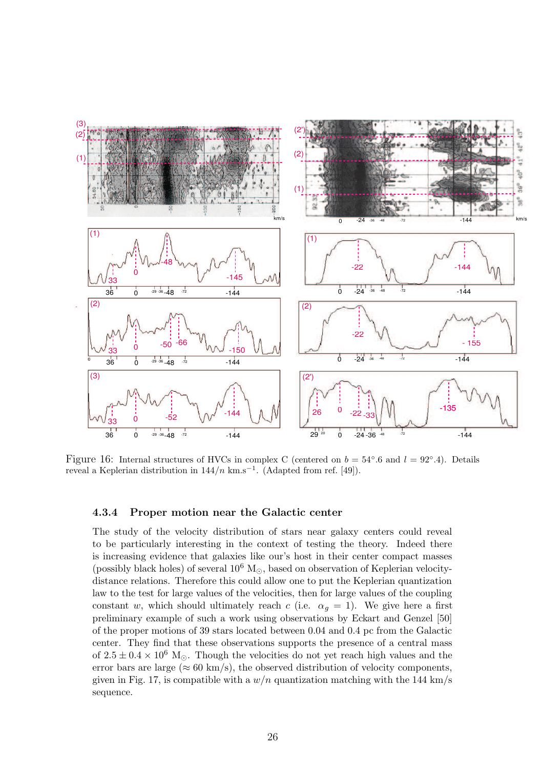

Figure 16: Internal structures of HVCs in complex C (centered on  $b = 54°.6$  and  $l = 92°.4$ ). Details reveal a Keplerian distribution in  $144/n \text{ km.s}^{-1}$ . (Adapted from ref. [49]).

#### 4.3.4 Proper motion near the Galactic center

The study of the velocity distribution of stars near galaxy centers could reveal to be particularly interesting in the context of testing the theory. Indeed there is increasing evidence that galaxies like our's host in their center compact masses (possibly black holes) of several  $10^6$  M<sub> $\odot$ </sub>, based on observation of Keplerian velocitydistance relations. Therefore this could allow one to put the Keplerian quantization law to the test for large values of the velocities, then for large values of the coupling constant w, which should ultimately reach c (i.e.  $\alpha_q = 1$ ). We give here a first preliminary example of such a work using observations by Eckart and Genzel [50] of the proper motions of 39 stars located between 0.04 and 0.4 pc from the Galactic center. They find that these observations supports the presence of a central mass of  $2.5 \pm 0.4 \times 10^6$  M<sub>o</sub>. Though the velocities do not yet reach high values and the error bars are large ( $\approx 60 \text{ km/s}$ ), the observed distribution of velocity components, given in Fig. 17, is compatible with a  $w/n$  quantization matching with the 144 km/s sequence.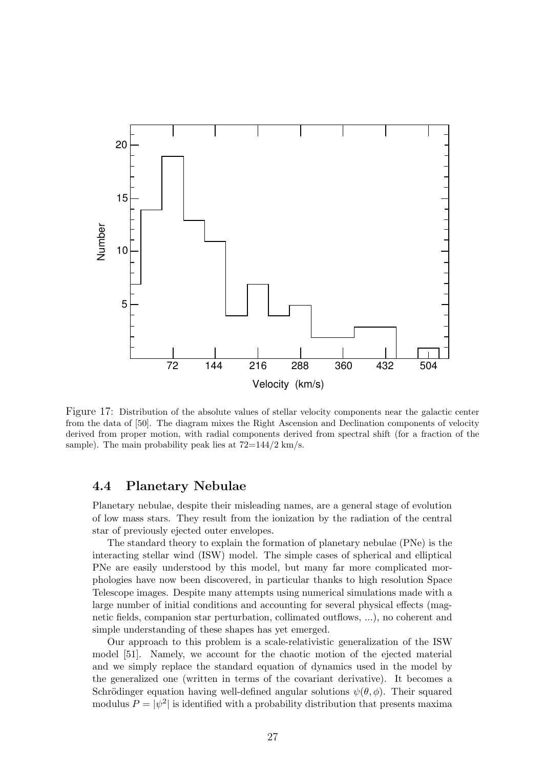

Figure 17: Distribution of the absolute values of stellar velocity components near the galactic center from the data of [50]. The diagram mixes the Right Ascension and Declination components of velocity derived from proper motion, with radial components derived from spectral shift (for a fraction of the sample). The main probability peak lies at  $72=144/2$  km/s.

## 4.4 Planetary Nebulae

Planetary nebulae, despite their misleading names, are a general stage of evolution of low mass stars. They result from the ionization by the radiation of the central star of previously ejected outer envelopes.

The standard theory to explain the formation of planetary nebulae (PNe) is the interacting stellar wind (ISW) model. The simple cases of spherical and elliptical PNe are easily understood by this model, but many far more complicated morphologies have now been discovered, in particular thanks to high resolution Space Telescope images. Despite many attempts using numerical simulations made with a large number of initial conditions and accounting for several physical effects (magnetic fields, companion star perturbation, collimated outflows, ...), no coherent and simple understanding of these shapes has yet emerged.

Our approach to this problem is a scale-relativistic generalization of the ISW model [51]. Namely, we account for the chaotic motion of the ejected material and we simply replace the standard equation of dynamics used in the model by the generalized one (written in terms of the covariant derivative). It becomes a Schrödinger equation having well-defined angular solutions  $\psi(\theta, \phi)$ . Their squared modulus  $P = |\psi^2|$  is identified with a probability distribution that presents maxima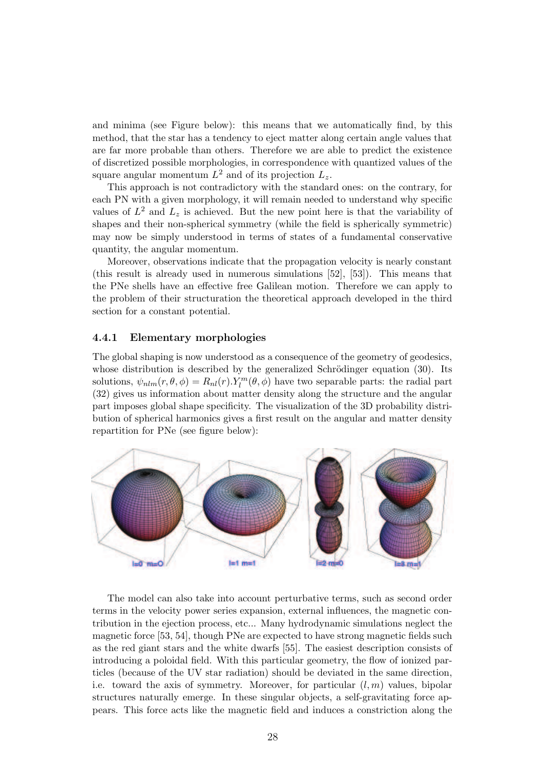and minima (see Figure below): this means that we automatically find, by this method, that the star has a tendency to eject matter along certain angle values that are far more probable than others. Therefore we are able to predict the existence of discretized possible morphologies, in correspondence with quantized values of the square angular momentum  $L^2$  and of its projection  $L_z$ .

This approach is not contradictory with the standard ones: on the contrary, for each PN with a given morphology, it will remain needed to understand why specific values of  $L^2$  and  $L_z$  is achieved. But the new point here is that the variability of shapes and their non-spherical symmetry (while the field is spherically symmetric) may now be simply understood in terms of states of a fundamental conservative quantity, the angular momentum.

Moreover, observations indicate that the propagation velocity is nearly constant (this result is already used in numerous simulations [52], [53]). This means that the PNe shells have an effective free Galilean motion. Therefore we can apply to the problem of their structuration the theoretical approach developed in the third section for a constant potential.

#### 4.4.1 Elementary morphologies

The global shaping is now understood as a consequence of the geometry of geodesics, whose distribution is described by the generalized Schrödinger equation  $(30)$ . Its solutions,  $\psi_{nlm}(r, \theta, \phi) = R_{nl}(r) \cdot Y_l^m(\theta, \phi)$  have two separable parts: the radial part (32) gives us information about matter density along the structure and the angular part imposes global shape specificity. The visualization of the 3D probability distribution of spherical harmonics gives a first result on the angular and matter density repartition for PNe (see figure below):



The model can also take into account perturbative terms, such as second order terms in the velocity power series expansion, external influences, the magnetic contribution in the ejection process, etc... Many hydrodynamic simulations neglect the magnetic force [53, 54], though PNe are expected to have strong magnetic fields such as the red giant stars and the white dwarfs [55]. The easiest description consists of introducing a poloidal field. With this particular geometry, the flow of ionized particles (because of the UV star radiation) should be deviated in the same direction, i.e. toward the axis of symmetry. Moreover, for particular  $(l, m)$  values, bipolar structures naturally emerge. In these singular objects, a self-gravitating force appears. This force acts like the magnetic field and induces a constriction along the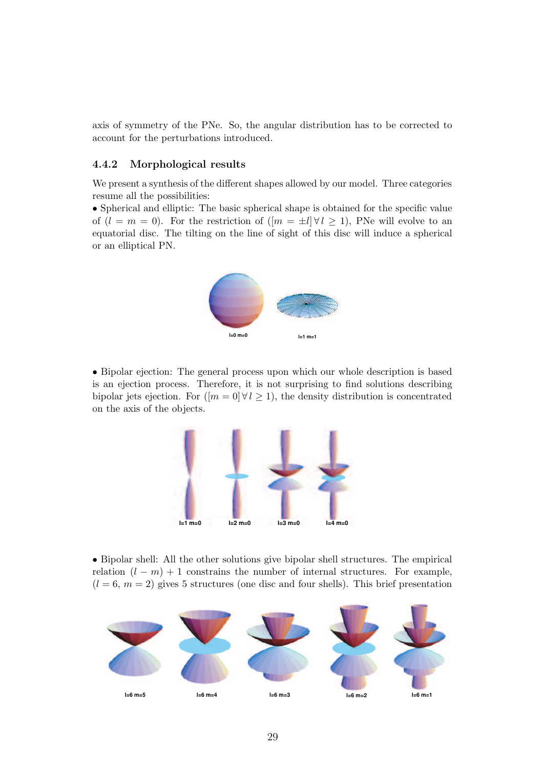axis of symmetry of the PNe. So, the angular distribution has to be corrected to account for the perturbations introduced.

### 4.4.2 Morphological results

We present a synthesis of the different shapes allowed by our model. Three categories resume all the possibilities:

• Spherical and elliptic: The basic spherical shape is obtained for the specific value of  $(l = m = 0)$ . For the restriction of  $([m = \pm l] \forall l \ge 1)$ , PNe will evolve to an equatorial disc. The tilting on the line of sight of this disc will induce a spherical or an elliptical PN.



• Bipolar ejection: The general process upon which our whole description is based is an ejection process. Therefore, it is not surprising to find solutions describing bipolar jets ejection. For  $([m = 0] \forall l \geq 1)$ , the density distribution is concentrated on the axis of the objects.



• Bipolar shell: All the other solutions give bipolar shell structures. The empirical relation  $(l - m) + 1$  constrains the number of internal structures. For example,  $(l = 6, m = 2)$  gives 5 structures (one disc and four shells). This brief presentation

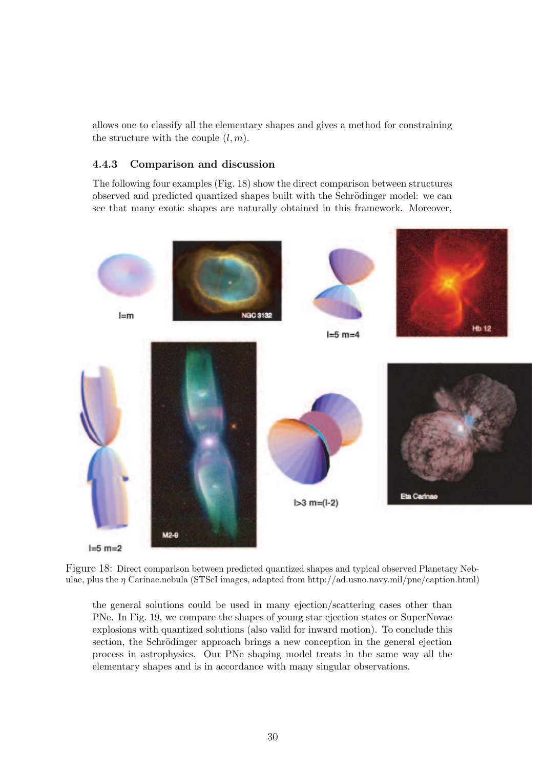allows one to classify all the elementary shapes and gives a method for constraining the structure with the couple  $(l, m)$ .

### 4.4.3 Comparison and discussion

The following four examples (Fig. 18) show the direct comparison between structures observed and predicted quantized shapes built with the Schrödinger model: we can see that many exotic shapes are naturally obtained in this framework. Moreover,



Figure 18: Direct comparison between predicted quantized shapes and typical observed Planetary Nebulae, plus the  $\eta$  Carinae.nebula (STScI images, adapted from http://ad.usno.navy.mil/pne/caption.html)

the general solutions could be used in many ejection/scattering cases other than PNe. In Fig. 19, we compare the shapes of young star ejection states or SuperNovae explosions with quantized solutions (also valid for inward motion). To conclude this section, the Schrödinger approach brings a new conception in the general ejection process in astrophysics. Our PNe shaping model treats in the same way all the elementary shapes and is in accordance with many singular observations.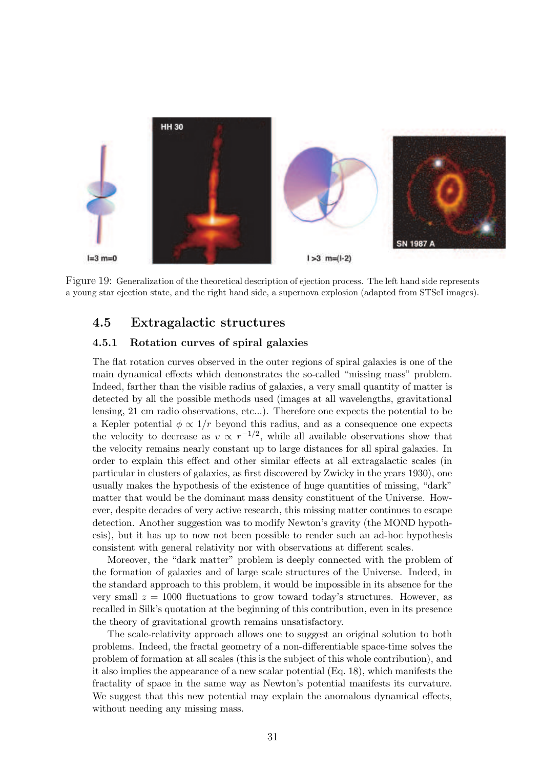

Figure 19: Generalization of the theoretical description of ejection process. The left hand side represents a young star ejection state, and the right hand side, a supernova explosion (adapted from STScI images).

## 4.5 Extragalactic structures

#### 4.5.1 Rotation curves of spiral galaxies

The flat rotation curves observed in the outer regions of spiral galaxies is one of the main dynamical effects which demonstrates the so-called "missing mass" problem. Indeed, farther than the visible radius of galaxies, a very small quantity of matter is detected by all the possible methods used (images at all wavelengths, gravitational lensing, 21 cm radio observations, etc...). Therefore one expects the potential to be a Kepler potential  $\phi \propto 1/r$  beyond this radius, and as a consequence one expects the velocity to decrease as  $v \propto r^{-1/2}$ , while all available observations show that the velocity remains nearly constant up to large distances for all spiral galaxies. In order to explain this effect and other similar effects at all extragalactic scales (in particular in clusters of galaxies, as first discovered by Zwicky in the years 1930), one usually makes the hypothesis of the existence of huge quantities of missing, "dark" matter that would be the dominant mass density constituent of the Universe. However, despite decades of very active research, this missing matter continues to escape detection. Another suggestion was to modify Newton's gravity (the MOND hypothesis), but it has up to now not been possible to render such an ad-hoc hypothesis consistent with general relativity nor with observations at different scales.

Moreover, the "dark matter" problem is deeply connected with the problem of the formation of galaxies and of large scale structures of the Universe. Indeed, in the standard approach to this problem, it would be impossible in its absence for the very small  $z = 1000$  fluctuations to grow toward today's structures. However, as recalled in Silk's quotation at the beginning of this contribution, even in its presence the theory of gravitational growth remains unsatisfactory.

The scale-relativity approach allows one to suggest an original solution to both problems. Indeed, the fractal geometry of a non-differentiable space-time solves the problem of formation at all scales (this is the subject of this whole contribution), and it also implies the appearance of a new scalar potential (Eq. 18), which manifests the fractality of space in the same way as Newton's potential manifests its curvature. We suggest that this new potential may explain the anomalous dynamical effects, without needing any missing mass.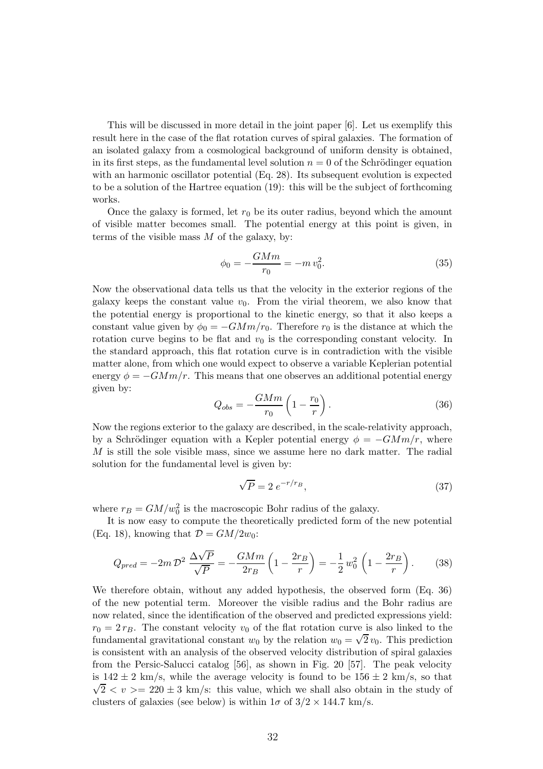This will be discussed in more detail in the joint paper [6]. Let us exemplify this result here in the case of the flat rotation curves of spiral galaxies. The formation of an isolated galaxy from a cosmological background of uniform density is obtained, in its first steps, as the fundamental level solution  $n = 0$  of the Schrödinger equation with an harmonic oscillator potential (Eq. 28). Its subsequent evolution is expected to be a solution of the Hartree equation (19): this will be the subject of forthcoming works.

Once the galaxy is formed, let  $r_0$  be its outer radius, beyond which the amount of visible matter becomes small. The potential energy at this point is given, in terms of the visible mass  $M$  of the galaxy, by:

$$
\phi_0 = -\frac{GMm}{r_0} = -m v_0^2. \tag{35}
$$

Now the observational data tells us that the velocity in the exterior regions of the galaxy keeps the constant value  $v_0$ . From the virial theorem, we also know that the potential energy is proportional to the kinetic energy, so that it also keeps a constant value given by  $\phi_0 = -GMm/r_0$ . Therefore  $r_0$  is the distance at which the rotation curve begins to be flat and  $v_0$  is the corresponding constant velocity. In the standard approach, this flat rotation curve is in contradiction with the visible matter alone, from which one would expect to observe a variable Keplerian potential energy  $\phi = -GMm/r$ . This means that one observes an additional potential energy given by:

$$
Q_{obs} = -\frac{GMm}{r_0} \left( 1 - \frac{r_0}{r} \right). \tag{36}
$$

Now the regions exterior to the galaxy are described, in the scale-relativity approach, by a Schrödinger equation with a Kepler potential energy  $\phi = -GMm/r$ , where M is still the sole visible mass, since we assume here no dark matter. The radial solution for the fundamental level is given by:

$$
\sqrt{P} = 2 e^{-r/r_B},\tag{37}
$$

where  $r_B = GM/w_0^2$  is the macroscopic Bohr radius of the galaxy.

It is now easy to compute the theoretically predicted form of the new potential (Eq. 18), knowing that  $\mathcal{D} = GM/2w_0$ :

$$
Q_{pred} = -2m \mathcal{D}^2 \frac{\Delta \sqrt{P}}{\sqrt{P}} = -\frac{GMm}{2r_B} \left( 1 - \frac{2r_B}{r} \right) = -\frac{1}{2} w_0^2 \left( 1 - \frac{2r_B}{r} \right). \tag{38}
$$

We therefore obtain, without any added hypothesis, the observed form (Eq. 36) of the new potential term. Moreover the visible radius and the Bohr radius are now related, since the identification of the observed and predicted expressions yield:  $r_0 = 2 r_B$ . The constant velocity  $v_0$  of the flat rotation curve is also linked to the fundamental gravitational constant  $w_0$  by the relation  $w_0 = \sqrt{2} v_0$ . This prediction is consistent with an analysis of the observed velocity distribution of spiral galaxies from the Persic-Salucci catalog [56], as shown in Fig. 20 [57]. The peak velocity is  $142 \pm 2$  km/s, while the average velocity is found to be  $156 \pm 2$  km/s, so that  $\sqrt{2}$  < v > = 220 ± 3 km/s: this value, which we shall also obtain in the study of clusters of galaxies (see below) is within  $1\sigma$  of  $3/2 \times 144.7$  km/s.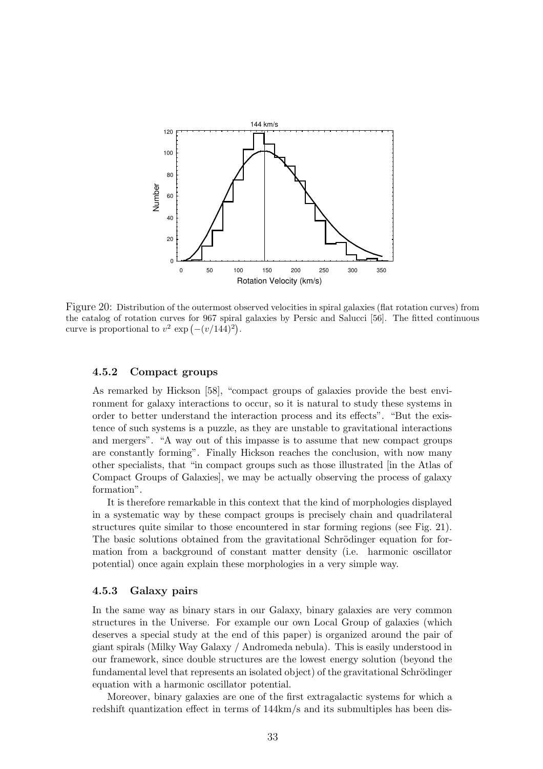

Figure 20: Distribution of the outermost observed velocities in spiral galaxies (flat rotation curves) from the catalog of rotation curves for 967 spiral galaxies by Persic and Salucci [56]. The fitted continuous curve is proportional to  $v^2 \exp(-(v/144)^2)$ .

#### 4.5.2 Compact groups

As remarked by Hickson [58], "compact groups of galaxies provide the best environment for galaxy interactions to occur, so it is natural to study these systems in order to better understand the interaction process and its effects". "But the existence of such systems is a puzzle, as they are unstable to gravitational interactions and mergers". "A way out of this impasse is to assume that new compact groups are constantly forming". Finally Hickson reaches the conclusion, with now many other specialists, that "in compact groups such as those illustrated [in the Atlas of Compact Groups of Galaxies], we may be actually observing the process of galaxy formation".

It is therefore remarkable in this context that the kind of morphologies displayed in a systematic way by these compact groups is precisely chain and quadrilateral structures quite similar to those encountered in star forming regions (see Fig. 21). The basic solutions obtained from the gravitational Schrödinger equation for formation from a background of constant matter density (i.e. harmonic oscillator potential) once again explain these morphologies in a very simple way.

#### 4.5.3 Galaxy pairs

In the same way as binary stars in our Galaxy, binary galaxies are very common structures in the Universe. For example our own Local Group of galaxies (which deserves a special study at the end of this paper) is organized around the pair of giant spirals (Milky Way Galaxy / Andromeda nebula). This is easily understood in our framework, since double structures are the lowest energy solution (beyond the fundamental level that represents an isolated object) of the gravitational Schrödinger equation with a harmonic oscillator potential.

Moreover, binary galaxies are one of the first extragalactic systems for which a redshift quantization effect in terms of 144km/s and its submultiples has been dis-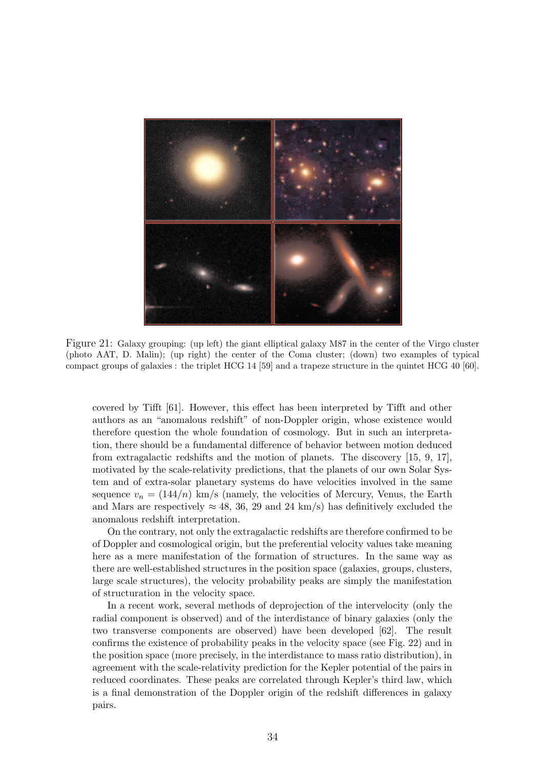

Figure 21: Galaxy grouping: (up left) the giant elliptical galaxy M87 in the center of the Virgo cluster (photo AAT, D. Malin); (up right) the center of the Coma cluster; (down) two examples of typical compact groups of galaxies : the triplet HCG 14 [59] and a trapeze structure in the quintet HCG 40 [60].

covered by Tifft [61]. However, this effect has been interpreted by Tifft and other authors as an "anomalous redshift" of non-Doppler origin, whose existence would therefore question the whole foundation of cosmology. But in such an interpretation, there should be a fundamental difference of behavior between motion deduced from extragalactic redshifts and the motion of planets. The discovery [15, 9, 17], motivated by the scale-relativity predictions, that the planets of our own Solar System and of extra-solar planetary systems do have velocities involved in the same sequence  $v_n = (144/n)$  km/s (namely, the velocities of Mercury, Venus, the Earth and Mars are respectively  $\approx 48, 36, 29$  and  $24 \text{ km/s}$  has definitively excluded the anomalous redshift interpretation.

On the contrary, not only the extragalactic redshifts are therefore confirmed to be of Doppler and cosmological origin, but the preferential velocity values take meaning here as a mere manifestation of the formation of structures. In the same way as there are well-established structures in the position space (galaxies, groups, clusters, large scale structures), the velocity probability peaks are simply the manifestation of structuration in the velocity space.

In a recent work, several methods of deprojection of the intervelocity (only the radial component is observed) and of the interdistance of binary galaxies (only the two transverse components are observed) have been developed [62]. The result confirms the existence of probability peaks in the velocity space (see Fig. 22) and in the position space (more precisely, in the interdistance to mass ratio distribution), in agreement with the scale-relativity prediction for the Kepler potential of the pairs in reduced coordinates. These peaks are correlated through Kepler's third law, which is a final demonstration of the Doppler origin of the redshift differences in galaxy pairs.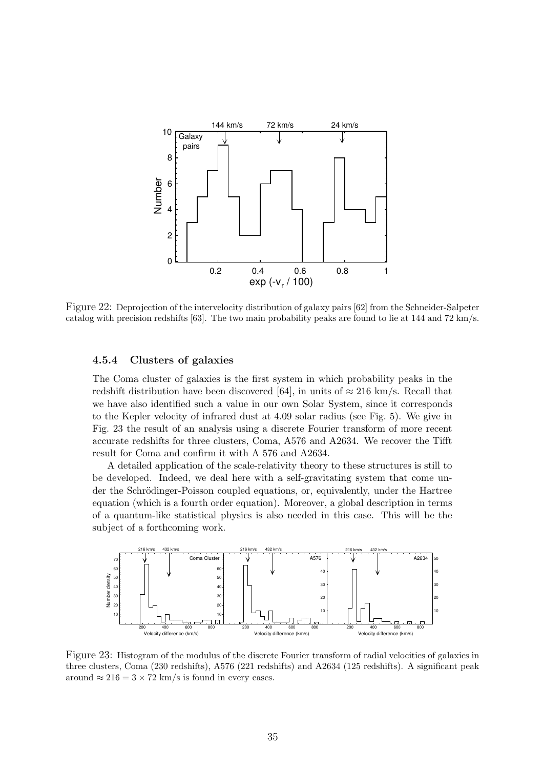

Figure 22: Deprojection of the intervelocity distribution of galaxy pairs [62] from the Schneider-Salpeter catalog with precision redshifts [63]. The two main probability peaks are found to lie at 144 and 72 km/s.

#### 4.5.4 Clusters of galaxies

The Coma cluster of galaxies is the first system in which probability peaks in the redshift distribution have been discovered [64], in units of  $\approx 216 \text{ km/s}$ . Recall that we have also identified such a value in our own Solar System, since it corresponds to the Kepler velocity of infrared dust at 4.09 solar radius (see Fig. 5). We give in Fig. 23 the result of an analysis using a discrete Fourier transform of more recent accurate redshifts for three clusters, Coma, A576 and A2634. We recover the Tifft result for Coma and confirm it with A 576 and A2634.

A detailed application of the scale-relativity theory to these structures is still to be developed. Indeed, we deal here with a self-gravitating system that come under the Schrödinger-Poisson coupled equations, or, equivalently, under the Hartree equation (which is a fourth order equation). Moreover, a global description in terms of a quantum-like statistical physics is also needed in this case. This will be the subject of a forthcoming work.



Figure 23: Histogram of the modulus of the discrete Fourier transform of radial velocities of galaxies in three clusters, Coma (230 redshifts), A576 (221 redshifts) and A2634 (125 redshifts). A significant peak around  $\approx 216 = 3 \times 72$  km/s is found in every cases.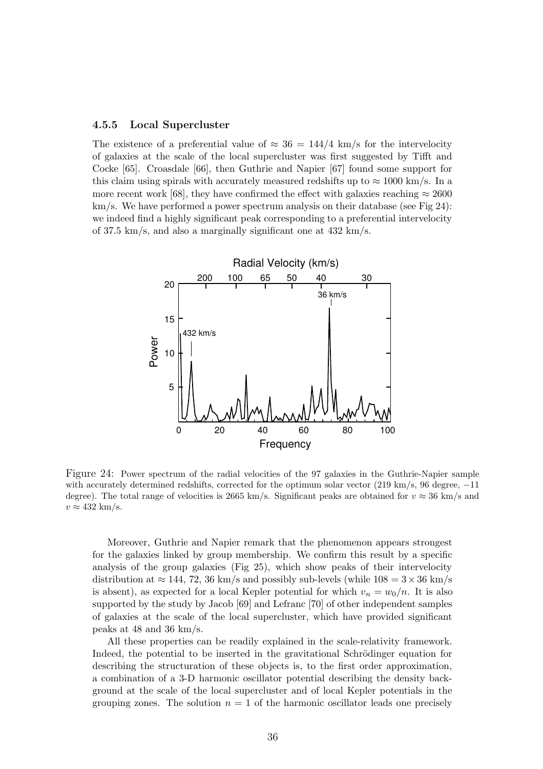#### 4.5.5 Local Supercluster

The existence of a preferential value of  $\approx 36 = 144/4$  km/s for the intervelocity of galaxies at the scale of the local supercluster was first suggested by Tifft and Cocke [65]. Croasdale [66], then Guthrie and Napier [67] found some support for this claim using spirals with accurately measured redshifts up to  $\approx 1000 \text{ km/s}$ . In a more recent work [68], they have confirmed the effect with galaxies reaching  $\approx 2600$  $km/s$ . We have performed a power spectrum analysis on their database (see Fig 24): we indeed find a highly significant peak corresponding to a preferential intervelocity of 37.5 km/s, and also a marginally significant one at 432 km/s.



Figure 24: Power spectrum of the radial velocities of the 97 galaxies in the Guthrie-Napier sample with accurately determined redshifts, corrected for the optimum solar vector (219 km/s, 96 degree, −11 degree). The total range of velocities is 2665 km/s. Significant peaks are obtained for  $v \approx 36$  km/s and  $v \approx 432$  km/s.

Moreover, Guthrie and Napier remark that the phenomenon appears strongest for the galaxies linked by group membership. We confirm this result by a specific analysis of the group galaxies (Fig 25), which show peaks of their intervelocity distribution at  $\approx 144$ , 72, 36 km/s and possibly sub-levels (while  $108 = 3 \times 36$  km/s is absent), as expected for a local Kepler potential for which  $v_n = w_0/n$ . It is also supported by the study by Jacob [69] and Lefranc [70] of other independent samples of galaxies at the scale of the local supercluster, which have provided significant peaks at 48 and 36 km/s.

All these properties can be readily explained in the scale-relativity framework. Indeed, the potential to be inserted in the gravitational Schrödinger equation for describing the structuration of these objects is, to the first order approximation, a combination of a 3-D harmonic oscillator potential describing the density background at the scale of the local supercluster and of local Kepler potentials in the grouping zones. The solution  $n = 1$  of the harmonic oscillator leads one precisely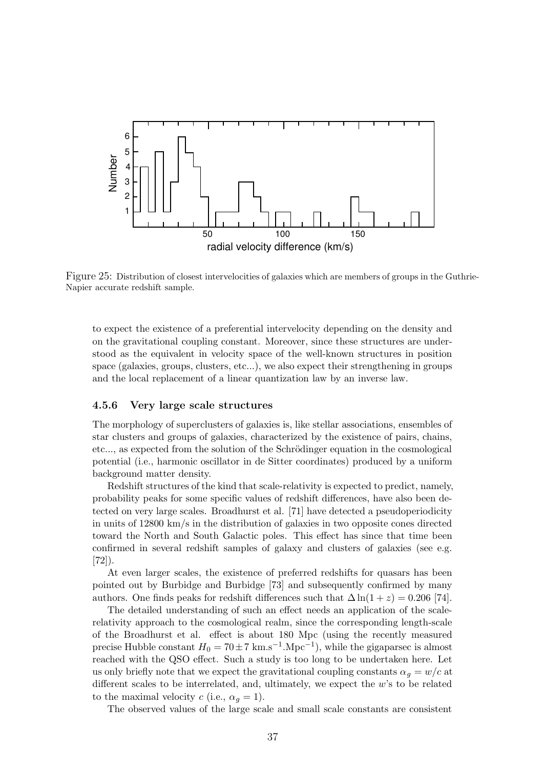

Figure 25: Distribution of closest intervelocities of galaxies which are members of groups in the Guthrie-Napier accurate redshift sample.

to expect the existence of a preferential intervelocity depending on the density and on the gravitational coupling constant. Moreover, since these structures are understood as the equivalent in velocity space of the well-known structures in position space (galaxies, groups, clusters, etc...), we also expect their strengthening in groups and the local replacement of a linear quantization law by an inverse law.

#### 4.5.6 Very large scale structures

The morphology of superclusters of galaxies is, like stellar associations, ensembles of star clusters and groups of galaxies, characterized by the existence of pairs, chains, etc..., as expected from the solution of the Schrödinger equation in the cosmological potential (i.e., harmonic oscillator in de Sitter coordinates) produced by a uniform background matter density.

Redshift structures of the kind that scale-relativity is expected to predict, namely, probability peaks for some specific values of redshift differences, have also been detected on very large scales. Broadhurst et al. [71] have detected a pseudoperiodicity in units of 12800 km/s in the distribution of galaxies in two opposite cones directed toward the North and South Galactic poles. This effect has since that time been confirmed in several redshift samples of galaxy and clusters of galaxies (see e.g. [72]).

At even larger scales, the existence of preferred redshifts for quasars has been pointed out by Burbidge and Burbidge [73] and subsequently confirmed by many authors. One finds peaks for redshift differences such that  $\Delta \ln(1+z) = 0.206$  [74].

The detailed understanding of such an effect needs an application of the scalerelativity approach to the cosmological realm, since the corresponding length-scale of the Broadhurst et al. effect is about 180 Mpc (using the recently measured precise Hubble constant  $H_0 = 70 \pm 7 \text{ km.s}^{-1}$ . Mpc<sup>-1</sup>), while the gigaparsec is almost reached with the QSO effect. Such a study is too long to be undertaken here. Let us only briefly note that we expect the gravitational coupling constants  $\alpha_q = w/c$  at different scales to be interrelated, and, ultimately, we expect the w's to be related to the maximal velocity c (i.e.,  $\alpha_q = 1$ ).

The observed values of the large scale and small scale constants are consistent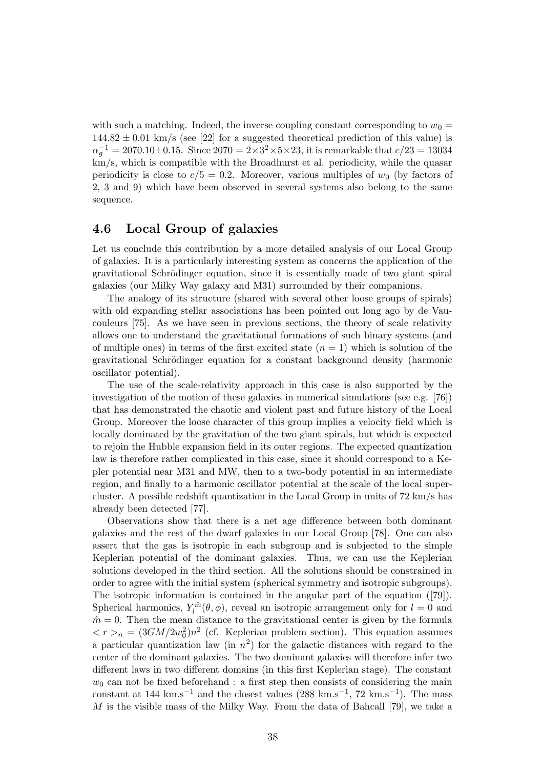with such a matching. Indeed, the inverse coupling constant corresponding to  $w_0 =$  $144.82 \pm 0.01$  km/s (see [22] for a suggested theoretical prediction of this value) is  $\alpha_g^{-1} = 2070.10 \pm 0.15$ . Since  $2070 = 2 \times 3^2 \times 5 \times 23$ , it is remarkable that  $c/23 = 13034$ km/s, which is compatible with the Broadhurst et al. periodicity, while the quasar periodicity is close to  $c/5 = 0.2$ . Moreover, various multiples of  $w_0$  (by factors of 2, 3 and 9) which have been observed in several systems also belong to the same sequence.

## 4.6 Local Group of galaxies

Let us conclude this contribution by a more detailed analysis of our Local Group of galaxies. It is a particularly interesting system as concerns the application of the gravitational Schrödinger equation, since it is essentially made of two giant spiral galaxies (our Milky Way galaxy and M31) surrounded by their companions.

The analogy of its structure (shared with several other loose groups of spirals) with old expanding stellar associations has been pointed out long ago by de Vaucouleurs [75]. As we have seen in previous sections, the theory of scale relativity allows one to understand the gravitational formations of such binary systems (and of multiple ones) in terms of the first excited state  $(n = 1)$  which is solution of the gravitational Schrödinger equation for a constant background density (harmonic oscillator potential).

The use of the scale-relativity approach in this case is also supported by the investigation of the motion of these galaxies in numerical simulations (see e.g. [76]) that has demonstrated the chaotic and violent past and future history of the Local Group. Moreover the loose character of this group implies a velocity field which is locally dominated by the gravitation of the two giant spirals, but which is expected to rejoin the Hubble expansion field in its outer regions. The expected quantization law is therefore rather complicated in this case, since it should correspond to a Kepler potential near M31 and MW, then to a two-body potential in an intermediate region, and finally to a harmonic oscillator potential at the scale of the local supercluster. A possible redshift quantization in the Local Group in units of 72 km/s has already been detected [77].

Observations show that there is a net age difference between both dominant galaxies and the rest of the dwarf galaxies in our Local Group [78]. One can also assert that the gas is isotropic in each subgroup and is subjected to the simple Keplerian potential of the dominant galaxies. Thus, we can use the Keplerian solutions developed in the third section. All the solutions should be constrained in order to agree with the initial system (spherical symmetry and isotropic subgroups). The isotropic information is contained in the angular part of the equation ([79]). Spherical harmonics,  $Y_l^{\hat{m}}(\theta, \phi)$ , reveal an isotropic arrangement only for  $l = 0$  and  $\hat{m} = 0$ . Then the mean distance to the gravitational center is given by the formula  $\langle r \rangle_n = (3GM/2w_0^2)n^2$  (cf. Keplerian problem section). This equation assumes a particular quantization law (in  $n^2$ ) for the galactic distances with regard to the center of the dominant galaxies. The two dominant galaxies will therefore infer two different laws in two different domains (in this first Keplerian stage). The constant  $w_0$  can not be fixed beforehand : a first step then consists of considering the main constant at  $144 \text{ km.s}^{-1}$  and the closest values  $(288 \text{ km.s}^{-1}, 72 \text{ km.s}^{-1})$ . The mass  $M$  is the visible mass of the Milky Way. From the data of Bahcall [79], we take a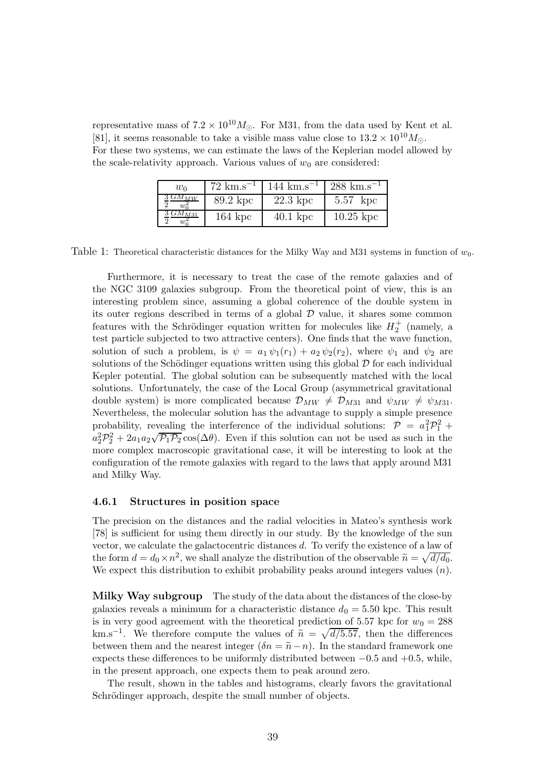representative mass of  $7.2 \times 10^{10} M_{\odot}$ . For M31, from the data used by Kent et al. [81], it seems reasonable to take a visible mass value close to  $13.2 \times 10^{10} M_{\odot}$ . For these two systems, we can estimate the laws of the Keplerian model allowed by the scale-relativity approach. Various values of  $w_0$  are considered:

| $w_0$                          | $72 \text{ km} \cdot \text{s}^{-1}$ | $144 \text{ km.s}^{-1}$ | $\sqrt{288} \text{ km} \cdot \text{s}^{-1}$ |  |  |
|--------------------------------|-------------------------------------|-------------------------|---------------------------------------------|--|--|
| $\frac{3}{2}$ GM <sub>MW</sub> | 89.2 kpc                            | $22.3~{\rm kpc}$        | 5.57 kpc                                    |  |  |
| $3\ G M_{M31}$                 | $164~{\rm kpc}$                     | $40.1~{\rm kpc}$        | $10.25~{\rm kpc}$                           |  |  |

Table 1: Theoretical characteristic distances for the Milky Way and M31 systems in function of  $w_0$ .

Furthermore, it is necessary to treat the case of the remote galaxies and of the NGC 3109 galaxies subgroup. From the theoretical point of view, this is an interesting problem since, assuming a global coherence of the double system in its outer regions described in terms of a global  $D$  value, it shares some common features with the Schrödinger equation written for molecules like  $H_2^+$  (namely, a test particle subjected to two attractive centers). One finds that the wave function, solution of such a problem, is  $\psi = a_1 \psi_1(r_1) + a_2 \psi_2(r_2)$ , where  $\psi_1$  and  $\psi_2$  are solutions of the Schödinger equations written using this global  $\mathcal D$  for each individual Kepler potential. The global solution can be subsequently matched with the local solutions. Unfortunately, the case of the Local Group (asymmetrical gravitational double system) is more complicated because  $\mathcal{D}_{MW} \neq \mathcal{D}_{M31}$  and  $\psi_{MW} \neq \psi_{M31}$ . Nevertheless, the molecular solution has the advantage to supply a simple presence probability, revealing the interference of the individual solutions:  $\mathcal{P} = a_1^2 \mathcal{P}_1^2 + a_2^2 \mathcal{P}_2^2$  $a_2^2 \mathcal{P}_2^2 + 2a_1 a_2 \sqrt{\mathcal{P}_1 \mathcal{P}_2} \cos(\Delta \theta)$ . Even if this solution can not be used as such in the more complex macroscopic gravitational case, it will be interesting to look at the configuration of the remote galaxies with regard to the laws that apply around M31 and Milky Way.

#### 4.6.1 Structures in position space

The precision on the distances and the radial velocities in Mateo's synthesis work [78] is sufficient for using them directly in our study. By the knowledge of the sun vector, we calculate the galactocentric distances d. To verify the existence of a law of the form  $d = d_0 \times n^2$ , we shall analyze the distribution of the observable  $\tilde{n} = \sqrt{d/d_0}$ . We expect this distribution to exhibit probability peaks around integers values  $(n)$ .

Milky Way subgroup The study of the data about the distances of the close-by galaxies reveals a minimum for a characteristic distance  $d_0 = 5.50$  kpc. This result is in very good agreement with the theoretical prediction of 5.57 kpc for  $w_0 = 288$ km.s<sup>-1</sup>. We therefore compute the values of  $\tilde{n} = \sqrt{d/5.57}$ , then the differences between them and the nearest integer  $(\delta n = \tilde{n} - n)$ . In the standard framework one expects these differences to be uniformly distributed between  $-0.5$  and  $+0.5$ , while, in the present approach, one expects them to peak around zero.

The result, shown in the tables and histograms, clearly favors the gravitational Schrödinger approach, despite the small number of objects.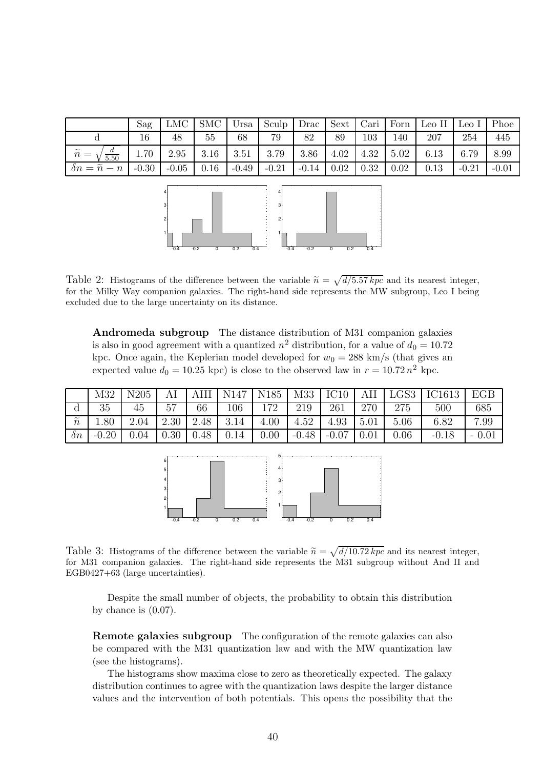|                                   | Sag     | <b>LMC</b> | $\operatorname{SMC}$  | Ursa       | Sculp   | Drac    | Sext     | Cari | Forn | Leo II | Leo I   | Phoe    |
|-----------------------------------|---------|------------|-----------------------|------------|---------|---------|----------|------|------|--------|---------|---------|
| d                                 | 16      | 48         | 55                    | 68         | 79      | 82      | 89       | 103  | 140  | 207    | 254     | 445     |
| $\tilde{n} =$<br>$\frac{d}{5.50}$ | 1.70    | 2.95       | 3.16                  | 3.51       | 3.79    | 3.86    | 4.02     | 4.32 | 5.02 | 6.13   | 6.79    | 8.99    |
| $\delta n = \tilde{n} - n$        | $-0.30$ | $-0.05$    | 0.16                  | $-0.49$    | $-0.21$ | $-0.14$ | 0.02     | 0.32 | 0.02 | 0.13   | $-0.21$ | $-0.01$ |
|                                   |         | $-0.4$     | $-0.2$<br>$\mathbf 0$ | 0.2<br>0.4 | $-0.4$  | $-0.2$  | 0.2<br>0 | 0.4  |      |        |         |         |

Table 2: Histograms of the difference between the variable  $\tilde{n} = \sqrt{d/5.57 kpc}$  and its nearest integer, for the Milky Way companion galaxies. The right-hand side represents the MW subgroup, Leo I being excluded due to the large uncertainty on its distance.

Andromeda subgroup The distance distribution of M31 companion galaxies is also in good agreement with a quantized  $n^2$  distribution, for a value of  $d_0 = 10.72$ kpc. Once again, the Keplerian model developed for  $w_0 = 288$  km/s (that gives an expected value  $d_0 = 10.25$  kpc) is close to the observed law in  $r = 10.72 n^2$  kpc.

|                 | M32       | N205     | Αl   |                  | Ν<br>147 | N185              | M33         |         |      | GS3  | IC1613  | <b>EGB</b>            |
|-----------------|-----------|----------|------|------------------|----------|-------------------|-------------|---------|------|------|---------|-----------------------|
| u               | ঽঢ়<br>ಀಀ | 45       | 57   | 66               | 106      | 179               | 219         | 261     | 270  | 275  | 500     | 685                   |
| $\widetilde{n}$ | .80       | 2.04     | 2.30 | 2.48<br>$\Omega$ |          | 4.00              | 4.52        | 4.93    | 5.01 | 5.06 | 6.82    | .99<br>$\overline{ }$ |
| òп              | 0.20      | $0.04\,$ | 0.30 | 0.48             |          | 0.00 <sub>1</sub> | 48<br>$-()$ | $-0.07$ | 0.01 | 0.06 | $-0.18$ | -                     |



Table 3: Histograms of the difference between the variable  $\tilde{n} = \sqrt{d/10.72 kpc}$  and its nearest integer, for M31 companion galaxies. The right-hand side represents the M31 subgroup without And II and EGB0427+63 (large uncertainties).

Despite the small number of objects, the probability to obtain this distribution by chance is (0.07).

Remote galaxies subgroup The configuration of the remote galaxies can also be compared with the M31 quantization law and with the MW quantization law (see the histograms).

The histograms show maxima close to zero as theoretically expected. The galaxy distribution continues to agree with the quantization laws despite the larger distance values and the intervention of both potentials. This opens the possibility that the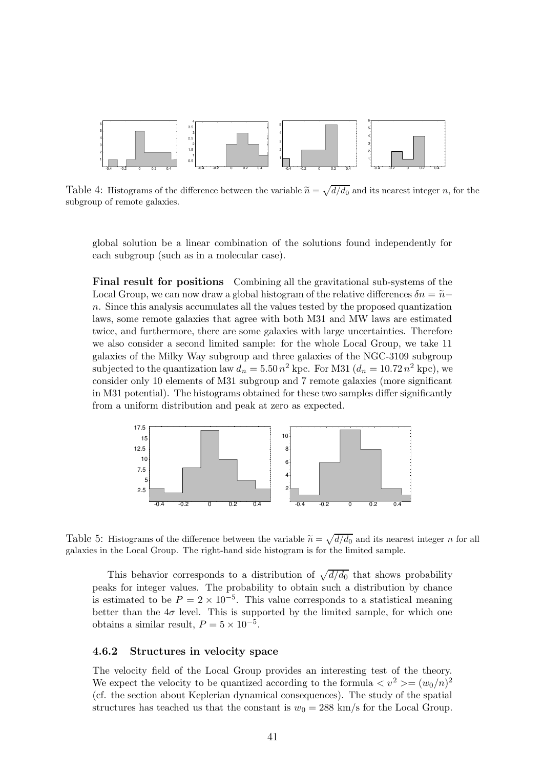

Table 4: Histograms of the difference between the variable  $\tilde{n} = \sqrt{d/d_0}$  and its nearest integer n, for the subgroup of remote galaxies.

global solution be a linear combination of the solutions found independently for each subgroup (such as in a molecular case).

Final result for positions Combining all the gravitational sub-systems of the Local Group, we can now draw a global histogram of the relative differences  $\delta n = \tilde{n}$ n. Since this analysis accumulates all the values tested by the proposed quantization laws, some remote galaxies that agree with both M31 and MW laws are estimated twice, and furthermore, there are some galaxies with large uncertainties. Therefore we also consider a second limited sample: for the whole Local Group, we take 11 galaxies of the Milky Way subgroup and three galaxies of the NGC-3109 subgroup subjected to the quantization law  $d_n = 5.50 n^2$  kpc. For M31  $(d_n = 10.72 n^2$  kpc), we consider only 10 elements of M31 subgroup and 7 remote galaxies (more significant in M31 potential). The histograms obtained for these two samples differ significantly from a uniform distribution and peak at zero as expected.



Table 5: Histograms of the difference between the variable  $\tilde{n} = \sqrt{d/d_0}$  and its nearest integer *n* for all properties in the Level Grams. The sight hand side histograms is for the limited grams of galaxies in the Local Group. The right-hand side histogram is for the limited sample.

This behavior corresponds to a distribution of  $\sqrt{d/d_0}$  that shows probability peaks for integer values. The probability to obtain such a distribution by chance is estimated to be  $P = 2 \times 10^{-5}$ . This value corresponds to a statistical meaning better than the  $4\sigma$  level. This is supported by the limited sample, for which one obtains a similar result,  $P = 5 \times 10^{-5}$ .

#### 4.6.2 Structures in velocity space

The velocity field of the Local Group provides an interesting test of the theory. We expect the velocity to be quantized according to the formula  $\langle v^2 \rangle = (w_0/n)^2$ (cf. the section about Keplerian dynamical consequences). The study of the spatial structures has teached us that the constant is  $w_0 = 288$  km/s for the Local Group.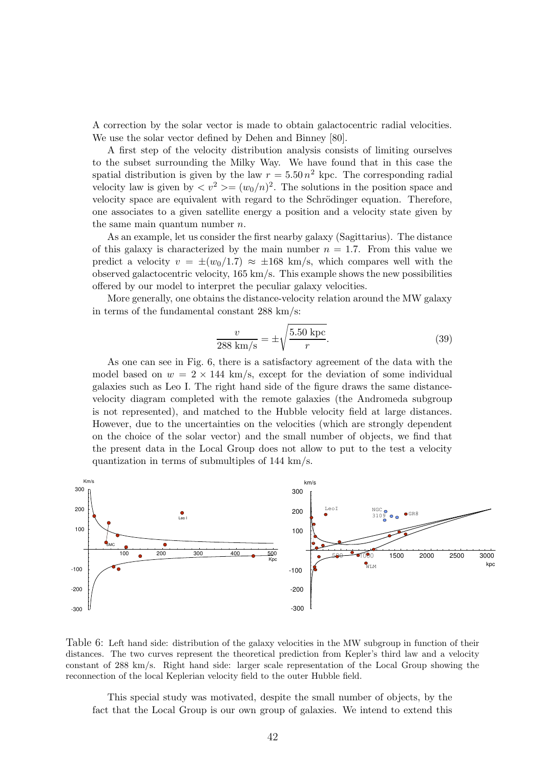A correction by the solar vector is made to obtain galactocentric radial velocities. We use the solar vector defined by Dehen and Binney [80].

A first step of the velocity distribution analysis consists of limiting ourselves to the subset surrounding the Milky Way. We have found that in this case the spatial distribution is given by the law  $r = 5.50 n^2$  kpc. The corresponding radial velocity law is given by  $\langle v^2 \rangle = (w_0/n)^2$ . The solutions in the position space and velocity space are equivalent with regard to the Schrödinger equation. Therefore, one associates to a given satellite energy a position and a velocity state given by the same main quantum number  $n$ .

As an example, let us consider the first nearby galaxy (Sagittarius). The distance of this galaxy is characterized by the main number  $n = 1.7$ . From this value we predict a velocity  $v = \pm (w_0/1.7) \approx \pm 168$  km/s, which compares well with the observed galactocentric velocity, 165 km/s. This example shows the new possibilities offered by our model to interpret the peculiar galaxy velocities.

More generally, one obtains the distance-velocity relation around the MW galaxy in terms of the fundamental constant 288 km/s:

$$
\frac{v}{288 \text{ km/s}} = \pm \sqrt{\frac{5.50 \text{ kpc}}{r}}.
$$
 (39)

As one can see in Fig. 6, there is a satisfactory agreement of the data with the model based on  $w = 2 \times 144$  km/s, except for the deviation of some individual galaxies such as Leo I. The right hand side of the figure draws the same distancevelocity diagram completed with the remote galaxies (the Andromeda subgroup is not represented), and matched to the Hubble velocity field at large distances. However, due to the uncertainties on the velocities (which are strongly dependent on the choice of the solar vector) and the small number of objects, we find that the present data in the Local Group does not allow to put to the test a velocity quantization in terms of submultiples of 144 km/s.



Table 6: Left hand side: distribution of the galaxy velocities in the MW subgroup in function of their distances. The two curves represent the theoretical prediction from Kepler's third law and a velocity constant of 288 km/s. Right hand side: larger scale representation of the Local Group showing the reconnection of the local Keplerian velocity field to the outer Hubble field.

This special study was motivated, despite the small number of objects, by the fact that the Local Group is our own group of galaxies. We intend to extend this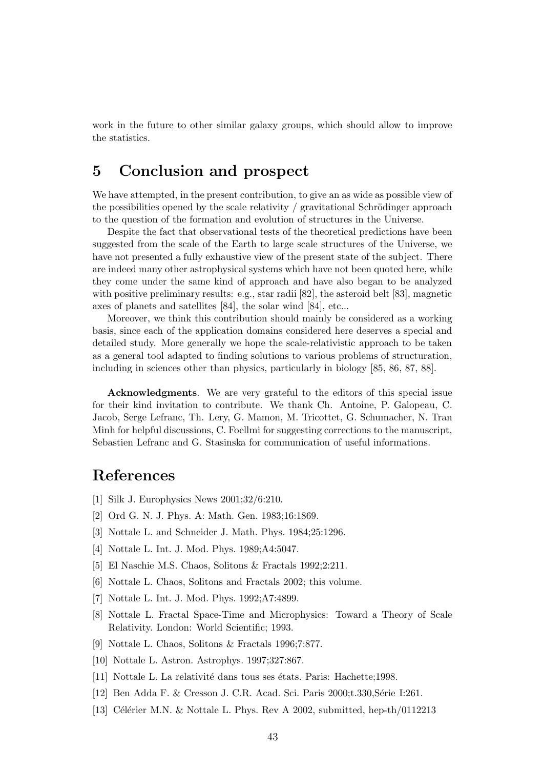work in the future to other similar galaxy groups, which should allow to improve the statistics.

## 5 Conclusion and prospect

We have attempted, in the present contribution, to give an as wide as possible view of the possibilities opened by the scale relativity  $\ell$  gravitational Schrödinger approach to the question of the formation and evolution of structures in the Universe.

Despite the fact that observational tests of the theoretical predictions have been suggested from the scale of the Earth to large scale structures of the Universe, we have not presented a fully exhaustive view of the present state of the subject. There are indeed many other astrophysical systems which have not been quoted here, while they come under the same kind of approach and have also began to be analyzed with positive preliminary results: e.g., star radii [82], the asteroid belt [83], magnetic axes of planets and satellites [84], the solar wind [84], etc...

Moreover, we think this contribution should mainly be considered as a working basis, since each of the application domains considered here deserves a special and detailed study. More generally we hope the scale-relativistic approach to be taken as a general tool adapted to finding solutions to various problems of structuration, including in sciences other than physics, particularly in biology [85, 86, 87, 88].

Acknowledgments. We are very grateful to the editors of this special issue for their kind invitation to contribute. We thank Ch. Antoine, P. Galopeau, C. Jacob, Serge Lefranc, Th. Lery, G. Mamon, M. Tricottet, G. Schumacher, N. Tran Minh for helpful discussions, C. Foellmi for suggesting corrections to the manuscript, Sebastien Lefranc and G. Stasinska for communication of useful informations.

## References

- [1] Silk J. Europhysics News 2001;32/6:210.
- [2] Ord G. N. J. Phys. A: Math. Gen. 1983;16:1869.
- [3] Nottale L. and Schneider J. Math. Phys. 1984;25:1296.
- [4] Nottale L. Int. J. Mod. Phys. 1989;A4:5047.
- [5] El Naschie M.S. Chaos, Solitons & Fractals 1992;2:211.
- [6] Nottale L. Chaos, Solitons and Fractals 2002; this volume.
- [7] Nottale L. Int. J. Mod. Phys. 1992;A7:4899.
- [8] Nottale L. Fractal Space-Time and Microphysics: Toward a Theory of Scale Relativity. London: World Scientific; 1993.
- [9] Nottale L. Chaos, Solitons & Fractals 1996;7:877.
- [10] Nottale L. Astron. Astrophys. 1997;327:867.
- [11] Nottale L. La relativité dans tous ses états. Paris: Hachette;1998.
- [12] Ben Adda F. & Cresson J. C.R. Acad. Sci. Paris 2000;t.330, Série I:261.
- [13] Célérier M.N. & Nottale L. Phys. Rev A 2002, submitted, hep-th/0112213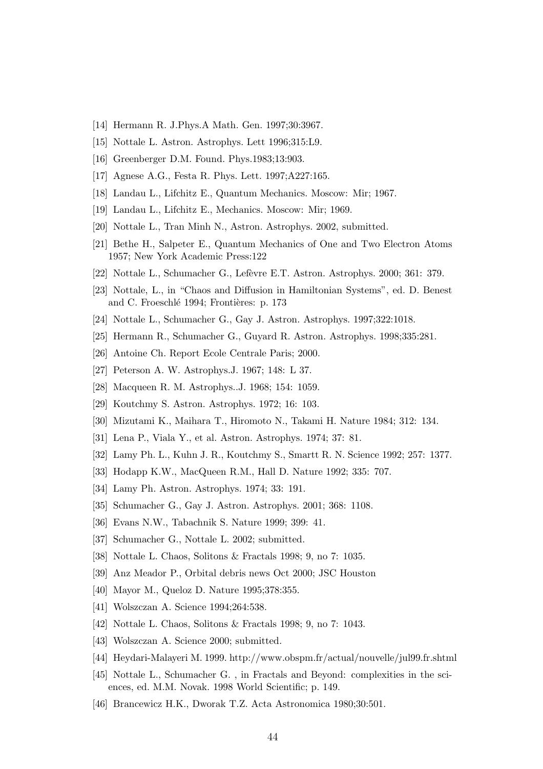- [14] Hermann R. J.Phys.A Math. Gen. 1997;30:3967.
- [15] Nottale L. Astron. Astrophys. Lett 1996;315:L9.
- [16] Greenberger D.M. Found. Phys.1983;13:903.
- [17] Agnese A.G., Festa R. Phys. Lett. 1997;A227:165.
- [18] Landau L., Lifchitz E., Quantum Mechanics. Moscow: Mir; 1967.
- [19] Landau L., Lifchitz E., Mechanics. Moscow: Mir; 1969.
- [20] Nottale L., Tran Minh N., Astron. Astrophys. 2002, submitted.
- [21] Bethe H., Salpeter E., Quantum Mechanics of One and Two Electron Atoms 1957; New York Academic Press:122
- [22] Nottale L., Schumacher G., Lefèvre E.T. Astron. Astrophys. 2000; 361: 379.
- [23] Nottale, L., in "Chaos and Diffusion in Hamiltonian Systems", ed. D. Benest and C. Froeschlé 1994; Frontières: p. 173
- [24] Nottale L., Schumacher G., Gay J. Astron. Astrophys. 1997;322:1018.
- [25] Hermann R., Schumacher G., Guyard R. Astron. Astrophys. 1998;335:281.
- [26] Antoine Ch. Report Ecole Centrale Paris; 2000.
- [27] Peterson A. W. Astrophys.J. 1967; 148: L 37.
- [28] Macqueen R. M. Astrophys..J. 1968; 154: 1059.
- [29] Koutchmy S. Astron. Astrophys. 1972; 16: 103.
- [30] Mizutami K., Maihara T., Hiromoto N., Takami H. Nature 1984; 312: 134.
- [31] Lena P., Viala Y., et al. Astron. Astrophys. 1974; 37: 81.
- [32] Lamy Ph. L., Kuhn J. R., Koutchmy S., Smartt R. N. Science 1992; 257: 1377.
- [33] Hodapp K.W., MacQueen R.M., Hall D. Nature 1992; 335: 707.
- [34] Lamy Ph. Astron. Astrophys. 1974; 33: 191.
- [35] Schumacher G., Gay J. Astron. Astrophys. 2001; 368: 1108.
- [36] Evans N.W., Tabachnik S. Nature 1999; 399: 41.
- [37] Schumacher G., Nottale L. 2002; submitted.
- [38] Nottale L. Chaos, Solitons & Fractals 1998; 9, no 7: 1035.
- [39] Anz Meador P., Orbital debris news Oct 2000; JSC Houston
- [40] Mayor M., Queloz D. Nature 1995;378:355.
- [41] Wolszczan A. Science 1994;264:538.
- [42] Nottale L. Chaos, Solitons & Fractals 1998; 9, no 7: 1043.
- [43] Wolszczan A. Science 2000; submitted.
- [44] Heydari-Malayeri M. 1999. http://www.obspm.fr/actual/nouvelle/jul99.fr.shtml
- [45] Nottale L., Schumacher G. , in Fractals and Beyond: complexities in the sciences, ed. M.M. Novak. 1998 World Scientific; p. 149.
- [46] Brancewicz H.K., Dworak T.Z. Acta Astronomica 1980;30:501.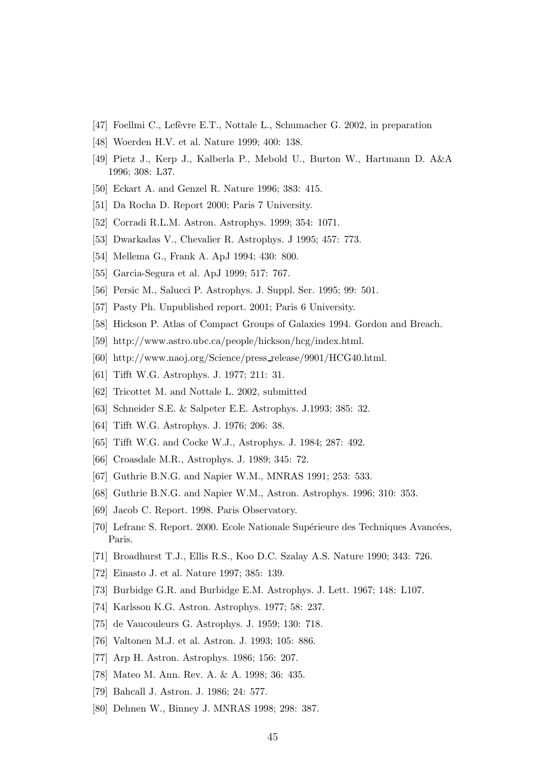- [47] Foellmi C., Lefèvre E.T., Nottale L., Schumacher G. 2002, in preparation
- [48] Woerden H.V. et al. Nature 1999; 400: 138.
- [49] Pietz J., Kerp J., Kalberla P., Mebold U., Burton W., Hartmann D. A&A 1996; 308: L37.
- [50] Eckart A. and Genzel R. Nature 1996; 383: 415.
- [51] Da Rocha D. Report 2000; Paris 7 University.
- [52] Corradi R.L.M. Astron. Astrophys. 1999; 354: 1071.
- [53] Dwarkadas V., Chevalier R. Astrophys. J 1995; 457: 773.
- [54] Mellema G., Frank A. ApJ 1994; 430: 800.
- [55] Garcia-Segura et al. ApJ 1999; 517: 767.
- [56] Persic M., Salucci P. Astrophys. J. Suppl. Ser. 1995; 99: 501.
- [57] Pasty Ph. Unpublished report. 2001; Paris 6 University.
- [58] Hickson P. Atlas of Compact Groups of Galaxies 1994. Gordon and Breach.
- [59] http://www.astro.ubc.ca/people/hickson/hcg/index.html.
- [60] http://www.naoj.org/Science/press release/9901/HCG40.html.
- [61] Tifft W.G. Astrophys. J. 1977; 211: 31.
- [62] Tricottet M. and Nottale L. 2002, submitted
- [63] Schneider S.E. & Salpeter E.E. Astrophys. J.1993; 385: 32.
- [64] Tifft W.G. Astrophys. J. 1976; 206: 38.
- [65] Tifft W.G. and Cocke W.J., Astrophys. J. 1984; 287: 492.
- [66] Croasdale M.R., Astrophys. J. 1989; 345: 72.
- [67] Guthrie B.N.G. and Napier W.M., MNRAS 1991; 253: 533.
- [68] Guthrie B.N.G. and Napier W.M., Astron. Astrophys. 1996; 310: 353.
- [69] Jacob C. Report. 1998. Paris Observatory.
- [70] Lefranc S. Report. 2000. Ecole Nationale Supérieure des Techniques Avancées, Paris.
- [71] Broadhurst T.J., Ellis R.S., Koo D.C. Szalay A.S. Nature 1990; 343: 726.
- [72] Einasto J. et al. Nature 1997; 385: 139.
- [73] Burbidge G.R. and Burbidge E.M. Astrophys. J. Lett. 1967; 148: L107.
- [74] Karlsson K.G. Astron. Astrophys. 1977; 58: 237.
- [75] de Vaucouleurs G. Astrophys. J. 1959; 130: 718.
- [76] Valtonen M.J. et al. Astron. J. 1993; 105: 886.
- [77] Arp H. Astron. Astrophys. 1986; 156: 207.
- [78] Mateo M. Ann. Rev. A. & A. 1998; 36: 435.
- [79] Bahcall J. Astron. J. 1986; 24: 577.
- [80] Dehnen W., Binney J. MNRAS 1998; 298: 387.